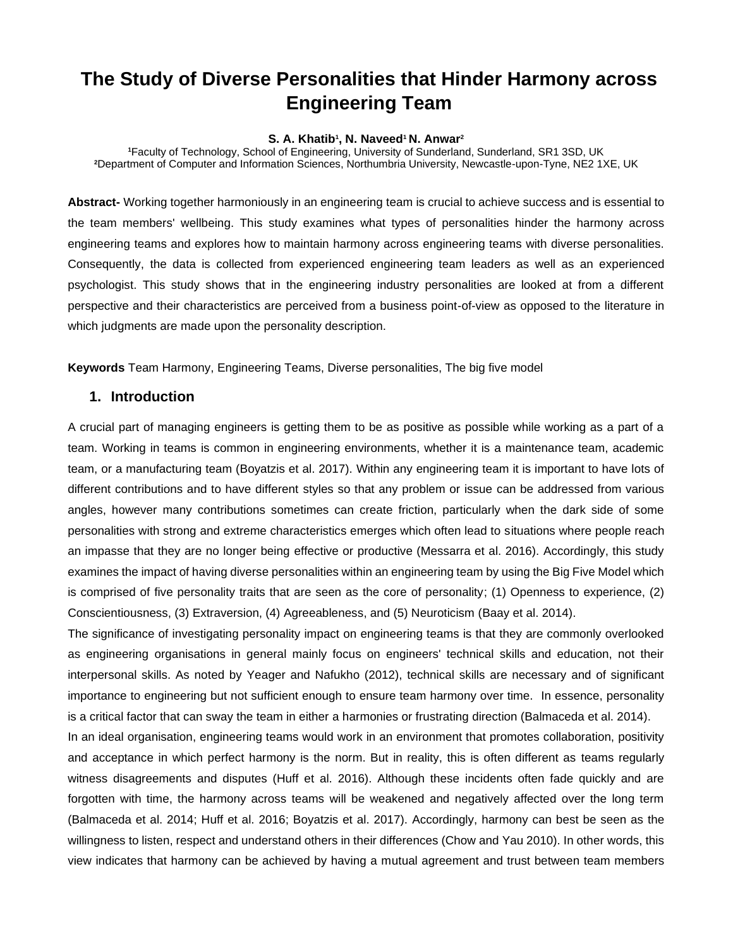# **The Study of Diverse Personalities that Hinder Harmony across Engineering Team**

### **S. A. Khatib<sup>1</sup> , N. Naveed<sup>1</sup> N. Anwar<sup>2</sup>**

**<sup>1</sup>**Faculty of Technology, School of Engineering, University of Sunderland, Sunderland, SR1 3SD, UK **<sup>2</sup>**Department of Computer and Information Sciences, Northumbria University, Newcastle-upon-Tyne, NE2 1XE, UK

**Abstract-** Working together harmoniously in an engineering team is crucial to achieve success and is essential to the team members' wellbeing. This study examines what types of personalities hinder the harmony across engineering teams and explores how to maintain harmony across engineering teams with diverse personalities. Consequently, the data is collected from experienced engineering team leaders as well as an experienced psychologist. This study shows that in the engineering industry personalities are looked at from a different perspective and their characteristics are perceived from a business point-of-view as opposed to the literature in which judgments are made upon the personality description.

**Keywords** Team Harmony, Engineering Teams, Diverse personalities, The big five model

# **1. Introduction**

A crucial part of managing engineers is getting them to be as positive as possible while working as a part of a team. Working in teams is common in engineering environments, whether it is a maintenance team, academic team, or a manufacturing team (Boyatzis et al. 2017). Within any engineering team it is important to have lots of different contributions and to have different styles so that any problem or issue can be addressed from various angles, however many contributions sometimes can create friction, particularly when the dark side of some personalities with strong and extreme characteristics emerges which often lead to situations where people reach an impasse that they are no longer being effective or productive (Messarra et al. 2016). Accordingly, this study examines the impact of having diverse personalities within an engineering team by using the Big Five Model which is comprised of five personality traits that are seen as the core of personality; (1) Openness to experience, (2) Conscientiousness, (3) Extraversion, (4) Agreeableness, and (5) Neuroticism (Baay et al. 2014).

The significance of investigating personality impact on engineering teams is that they are commonly overlooked as engineering organisations in general mainly focus on engineers' technical skills and education, not their interpersonal skills. As noted by Yeager and Nafukho (2012), technical skills are necessary and of significant importance to engineering but not sufficient enough to ensure team harmony over time. In essence, personality is a critical factor that can sway the team in either a harmonies or frustrating direction (Balmaceda et al. 2014).

In an ideal organisation, engineering teams would work in an environment that promotes collaboration, positivity and acceptance in which perfect harmony is the norm. But in reality, this is often different as teams regularly witness disagreements and disputes (Huff et al. 2016). Although these incidents often fade quickly and are forgotten with time, the harmony across teams will be weakened and negatively affected over the long term (Balmaceda et al. 2014; Huff et al. 2016; Boyatzis et al. 2017). Accordingly, harmony can best be seen as the willingness to listen, respect and understand others in their differences (Chow and Yau 2010). In other words, this view indicates that harmony can be achieved by having a mutual agreement and trust between team members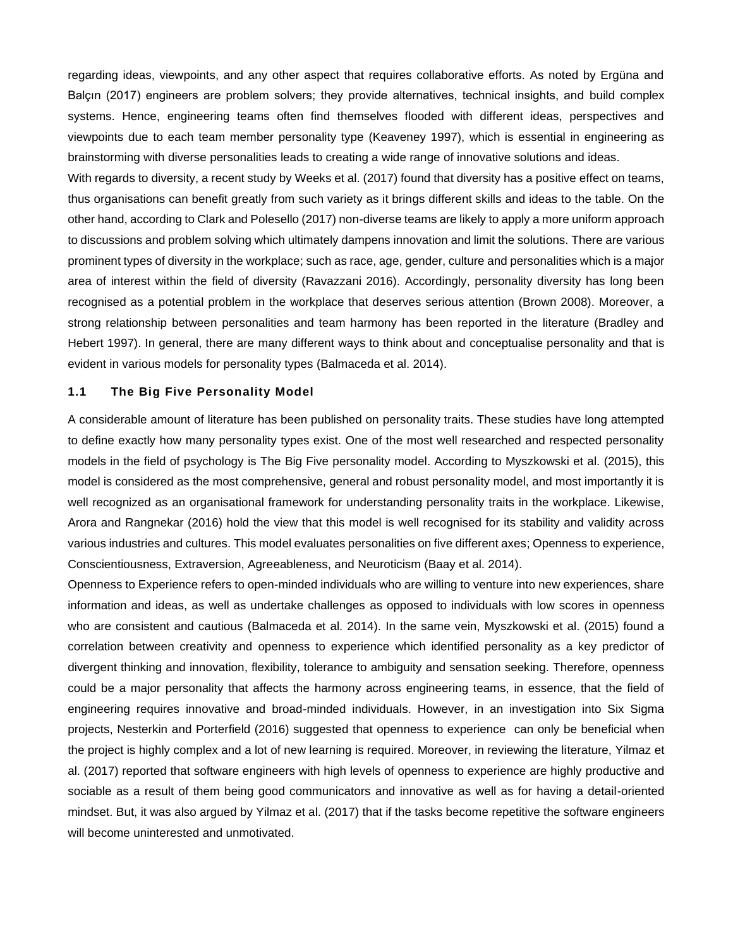regarding ideas, viewpoints, and any other aspect that requires collaborative efforts. As noted by Ergüna and Balçın (2017) engineers are problem solvers; they provide alternatives, technical insights, and build complex systems. Hence, engineering teams often find themselves flooded with different ideas, perspectives and viewpoints due to each team member personality type (Keaveney 1997), which is essential in engineering as brainstorming with diverse personalities leads to creating a wide range of innovative solutions and ideas.

With regards to diversity, a recent study by Weeks et al. (2017) found that diversity has a positive effect on teams, thus organisations can benefit greatly from such variety as it brings different skills and ideas to the table. On the other hand, according to Clark and Polesello (2017) non-diverse teams are likely to apply a more uniform approach to discussions and problem solving which ultimately dampens innovation and limit the solutions. There are various prominent types of diversity in the workplace; such as race, age, gender, culture and personalities which is a major area of interest within the field of diversity (Ravazzani 2016). Accordingly, personality diversity has long been recognised as a potential problem in the workplace that deserves serious attention (Brown 2008). Moreover, a strong relationship between personalities and team harmony has been reported in the literature (Bradley and Hebert 1997). In general, there are many different ways to think about and conceptualise personality and that is evident in various models for personality types (Balmaceda et al. 2014).

### **1.1 The Big Five Personality Model**

A considerable amount of literature has been published on personality traits. These studies have long attempted to define exactly how many personality types exist. One of the most well researched and respected personality models in the field of psychology is The Big Five personality model. According to Myszkowski et al. (2015), this model is considered as the most comprehensive, general and robust personality model, and most importantly it is well recognized as an organisational framework for understanding personality traits in the workplace. Likewise, Arora and Rangnekar (2016) hold the view that this model is well recognised for its stability and validity across various industries and cultures. This model evaluates personalities on five different axes; Openness to experience, Conscientiousness, Extraversion, Agreeableness, and Neuroticism (Baay et al. 2014).

Openness to Experience refers to open-minded individuals who are willing to venture into new experiences, share information and ideas, as well as undertake challenges as opposed to individuals with low scores in openness who are consistent and cautious (Balmaceda et al. 2014). In the same vein, Myszkowski et al. (2015) found a correlation between creativity and openness to experience which identified personality as a key predictor of divergent thinking and innovation, flexibility, tolerance to ambiguity and sensation seeking. Therefore, openness could be a major personality that affects the harmony across engineering teams, in essence, that the field of engineering requires innovative and broad-minded individuals. However, in an investigation into Six Sigma projects, Nesterkin and Porterfield (2016) suggested that openness to experience can only be beneficial when the project is highly complex and a lot of new learning is required. Moreover, in reviewing the literature, Yilmaz et al. (2017) reported that software engineers with high levels of openness to experience are highly productive and sociable as a result of them being good communicators and innovative as well as for having a detail-oriented mindset. But, it was also argued by Yilmaz et al. (2017) that if the tasks become repetitive the software engineers will become uninterested and unmotivated.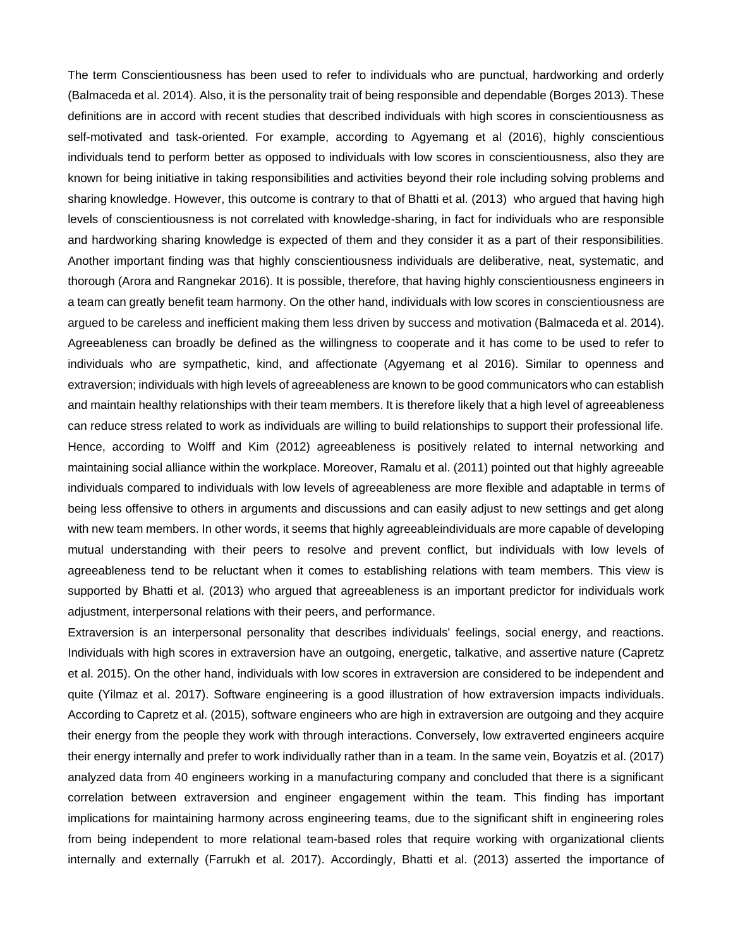The term Conscientiousness has been used to refer to individuals who are punctual, hardworking and orderly (Balmaceda et al. 2014). Also, it is the personality trait of being responsible and dependable (Borges 2013). These definitions are in accord with recent studies that described individuals with high scores in conscientiousness as self-motivated and task-oriented. For example, according to Agyemang et al (2016), highly conscientious individuals tend to perform better as opposed to individuals with low scores in conscientiousness, also they are known for being initiative in taking responsibilities and activities beyond their role including solving problems and sharing knowledge. However, this outcome is contrary to that of Bhatti et al. (2013) who argued that having high levels of conscientiousness is not correlated with knowledge-sharing, in fact for individuals who are responsible and hardworking sharing knowledge is expected of them and they consider it as a part of their responsibilities. Another important finding was that highly conscientiousness individuals are deliberative, neat, systematic, and thorough (Arora and Rangnekar 2016). It is possible, therefore, that having highly conscientiousness engineers in a team can greatly benefit team harmony. On the other hand, individuals with low scores in conscientiousness are argued to be careless and inefficient making them less driven by success and motivation (Balmaceda et al. 2014). Agreeableness can broadly be defined as the willingness to cooperate and it has come to be used to refer to individuals who are sympathetic, kind, and affectionate (Agyemang et al 2016). Similar to openness and extraversion; individuals with high levels of agreeableness are known to be good communicators who can establish and maintain healthy relationships with their team members. It is therefore likely that a high level of agreeableness can reduce stress related to work as individuals are willing to build relationships to support their professional life. Hence, according to Wolff and Kim (2012) agreeableness is positively related to internal networking and maintaining social alliance within the workplace. Moreover, Ramalu et al. (2011) pointed out that highly agreeable individuals compared to individuals with low levels of agreeableness are more flexible and adaptable in terms of being less offensive to others in arguments and discussions and can easily adjust to new settings and get along with new team members. In other words, it seems that highly agreeableindividuals are more capable of developing mutual understanding with their peers to resolve and prevent conflict, but individuals with low levels of agreeableness tend to be reluctant when it comes to establishing relations with team members. This view is supported by Bhatti et al. (2013) who argued that agreeableness is an important predictor for individuals work adjustment, interpersonal relations with their peers, and performance.

Extraversion is an interpersonal personality that describes individuals' feelings, social energy, and reactions. Individuals with high scores in extraversion have an outgoing, energetic, talkative, and assertive nature (Capretz et al. 2015). On the other hand, individuals with low scores in extraversion are considered to be independent and quite (Yilmaz et al. 2017). Software engineering is a good illustration of how extraversion impacts individuals. According to Capretz et al. (2015), software engineers who are high in extraversion are outgoing and they acquire their energy from the people they work with through interactions. Conversely, low extraverted engineers acquire their energy internally and prefer to work individually rather than in a team. In the same vein, Boyatzis et al. (2017) analyzed data from 40 engineers working in a manufacturing company and concluded that there is a significant correlation between extraversion and engineer engagement within the team. This finding has important implications for maintaining harmony across engineering teams, due to the significant shift in engineering roles from being independent to more relational team-based roles that require working with organizational clients internally and externally (Farrukh et al. 2017). Accordingly, Bhatti et al. (2013) asserted the importance of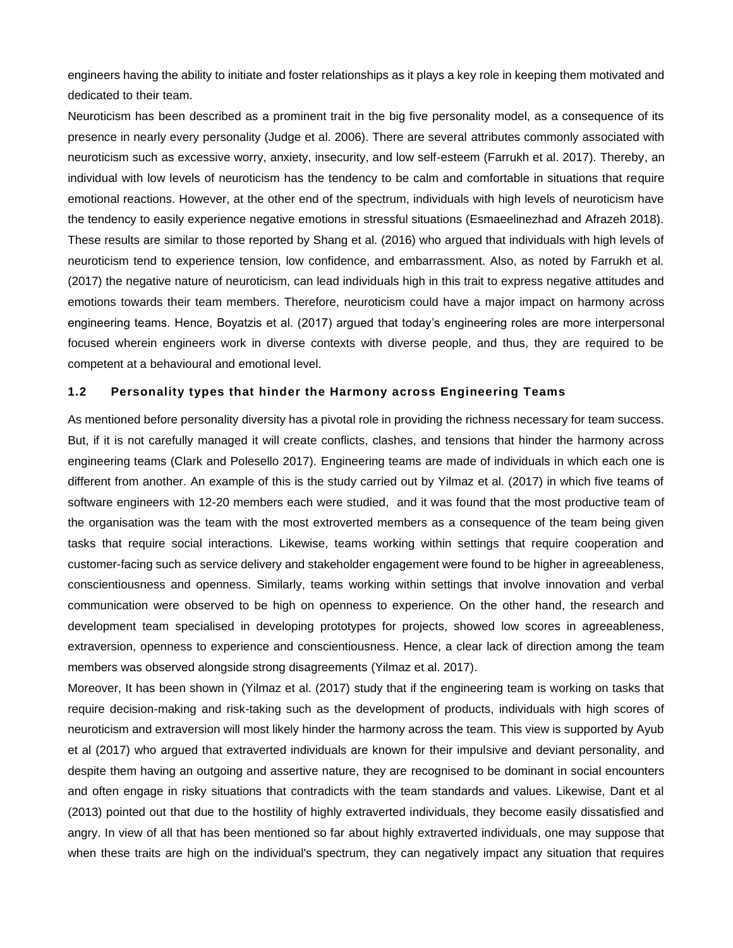engineers having the ability to initiate and foster relationships as it plays a key role in keeping them motivated and dedicated to their team.

Neuroticism has been described as a prominent trait in the big five personality model, as a consequence of its presence in nearly every personality (Judge et al. 2006). There are several attributes commonly associated with neuroticism such as excessive worry, anxiety, insecurity, and low self-esteem (Farrukh et al. 2017). Thereby, an individual with low levels of neuroticism has the tendency to be calm and comfortable in situations that require emotional reactions. However, at the other end of the spectrum, individuals with high levels of neuroticism have the tendency to easily experience negative emotions in stressful situations (Esmaeelinezhad and Afrazeh 2018). These results are similar to those reported by Shang et al. (2016) who argued that individuals with high levels of neuroticism tend to experience tension, low confidence, and embarrassment. Also, as noted by Farrukh et al. (2017) the negative nature of neuroticism, can lead individuals high in this trait to express negative attitudes and emotions towards their team members. Therefore, neuroticism could have a major impact on harmony across engineering teams. Hence, Boyatzis et al. (2017) argued that today's engineering roles are more interpersonal focused wherein engineers work in diverse contexts with diverse people, and thus, they are required to be competent at a behavioural and emotional level.

# **1.2 Personality types that hinder the Harmony across Engineering Teams**

As mentioned before personality diversity has a pivotal role in providing the richness necessary for team success. But, if it is not carefully managed it will create conflicts, clashes, and tensions that hinder the harmony across engineering teams (Clark and Polesello 2017). Engineering teams are made of individuals in which each one is different from another. An example of this is the study carried out by Yilmaz et al. (2017) in which five teams of software engineers with 12-20 members each were studied, and it was found that the most productive team of the organisation was the team with the most extroverted members as a consequence of the team being given tasks that require social interactions. Likewise, teams working within settings that require cooperation and customer-facing such as service delivery and stakeholder engagement were found to be higher in agreeableness, conscientiousness and openness. Similarly, teams working within settings that involve innovation and verbal communication were observed to be high on openness to experience. On the other hand, the research and development team specialised in developing prototypes for projects, showed low scores in agreeableness, extraversion, openness to experience and conscientiousness. Hence, a clear lack of direction among the team members was observed alongside strong disagreements (Yilmaz et al. 2017).

Moreover, It has been shown in (Yilmaz et al. (2017) study that if the engineering team is working on tasks that require decision-making and risk-taking such as the development of products, individuals with high scores of neuroticism and extraversion will most likely hinder the harmony across the team. This view is supported by Ayub et al (2017) who argued that extraverted individuals are known for their impulsive and deviant personality, and despite them having an outgoing and assertive nature, they are recognised to be dominant in social encounters and often engage in risky situations that contradicts with the team standards and values. Likewise, Dant et al (2013) pointed out that due to the hostility of highly extraverted individuals, they become easily dissatisfied and angry. In view of all that has been mentioned so far about highly extraverted individuals, one may suppose that when these traits are high on the individual's spectrum, they can negatively impact any situation that requires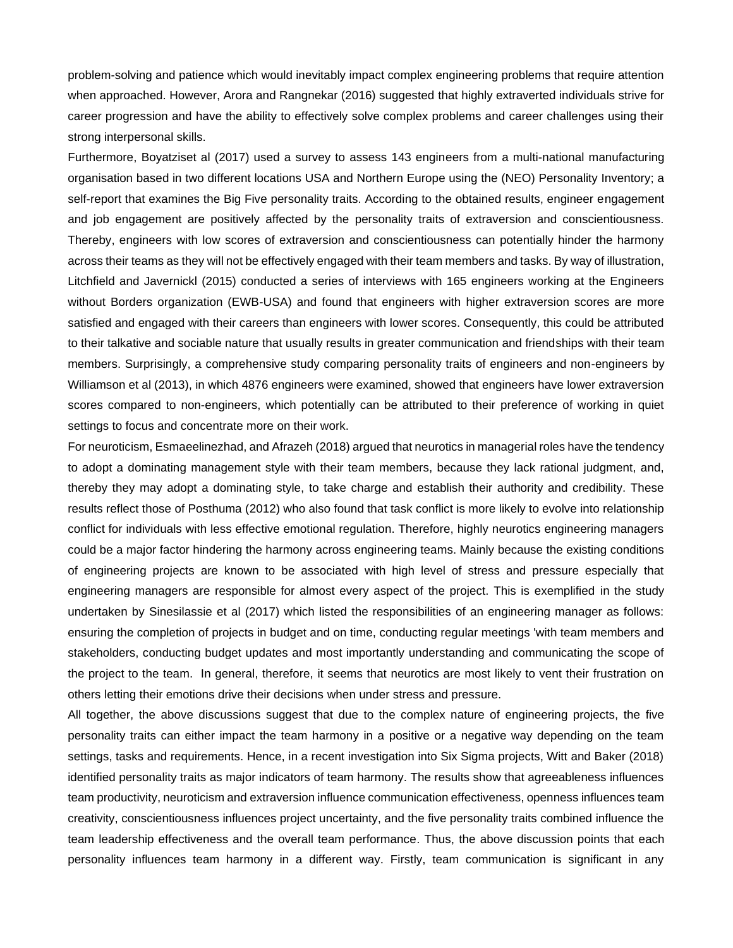problem-solving and patience which would inevitably impact complex engineering problems that require attention when approached. However, Arora and Rangnekar (2016) suggested that highly extraverted individuals strive for career progression and have the ability to effectively solve complex problems and career challenges using their strong interpersonal skills.

Furthermore, Boyatziset al (2017) used a survey to assess 143 engineers from a multi-national manufacturing organisation based in two different locations USA and Northern Europe using the (NEO) Personality Inventory; a self-report that examines the Big Five personality traits. According to the obtained results, engineer engagement and job engagement are positively affected by the personality traits of extraversion and conscientiousness. Thereby, engineers with low scores of extraversion and conscientiousness can potentially hinder the harmony across their teams as they will not be effectively engaged with their team members and tasks. By way of illustration, Litchfield and Javernickl (2015) conducted a series of interviews with 165 engineers working at the Engineers without Borders organization (EWB-USA) and found that engineers with higher extraversion scores are more satisfied and engaged with their careers than engineers with lower scores. Consequently, this could be attributed to their talkative and sociable nature that usually results in greater communication and friendships with their team members. Surprisingly, a comprehensive study comparing personality traits of engineers and non-engineers by Williamson et al (2013), in which 4876 engineers were examined, showed that engineers have lower extraversion scores compared to non-engineers, which potentially can be attributed to their preference of working in quiet settings to focus and concentrate more on their work.

For neuroticism, Esmaeelinezhad, and Afrazeh (2018) argued that neurotics in managerial roles have the tendency to adopt a dominating management style with their team members, because they lack rational judgment, and, thereby they may adopt a dominating style, to take charge and establish their authority and credibility. These results reflect those of Posthuma (2012) who also found that task conflict is more likely to evolve into relationship conflict for individuals with less effective emotional regulation. Therefore, highly neurotics engineering managers could be a major factor hindering the harmony across engineering teams. Mainly because the existing conditions of engineering projects are known to be associated with high level of stress and pressure especially that engineering managers are responsible for almost every aspect of the project. This is exemplified in the study undertaken by Sinesilassie et al (2017) which listed the responsibilities of an engineering manager as follows: ensuring the completion of projects in budget and on time, conducting regular meetings 'with team members and stakeholders, conducting budget updates and most importantly understanding and communicating the scope of the project to the team. In general, therefore, it seems that neurotics are most likely to vent their frustration on others letting their emotions drive their decisions when under stress and pressure.

All together, the above discussions suggest that due to the complex nature of engineering projects, the five personality traits can either impact the team harmony in a positive or a negative way depending on the team settings, tasks and requirements. Hence, in a recent investigation into Six Sigma projects, Witt and Baker (2018) identified personality traits as major indicators of team harmony. The results show that agreeableness influences team productivity, neuroticism and extraversion influence communication effectiveness, openness influences team creativity, conscientiousness influences project uncertainty, and the five personality traits combined influence the team leadership effectiveness and the overall team performance. Thus, the above discussion points that each personality influences team harmony in a different way. Firstly, team communication is significant in any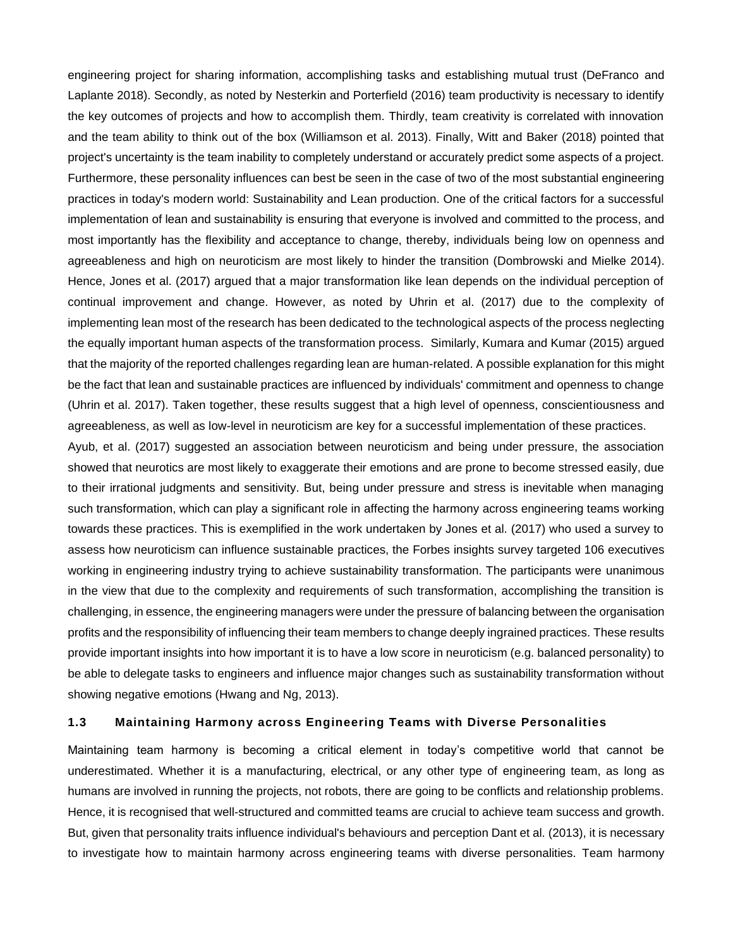engineering project for sharing information, accomplishing tasks and establishing mutual trust (DeFranco and Laplante 2018). Secondly, as noted by Nesterkin and Porterfield (2016) team productivity is necessary to identify the key outcomes of projects and how to accomplish them. Thirdly, team creativity is correlated with innovation and the team ability to think out of the box (Williamson et al. 2013). Finally, Witt and Baker (2018) pointed that project's uncertainty is the team inability to completely understand or accurately predict some aspects of a project. Furthermore, these personality influences can best be seen in the case of two of the most substantial engineering practices in today's modern world: Sustainability and Lean production. One of the critical factors for a successful implementation of lean and sustainability is ensuring that everyone is involved and committed to the process, and most importantly has the flexibility and acceptance to change, thereby, individuals being low on openness and agreeableness and high on neuroticism are most likely to hinder the transition (Dombrowski and Mielke 2014). Hence, Jones et al. (2017) argued that a major transformation like lean depends on the individual perception of continual improvement and change. However, as noted by Uhrin et al. (2017) due to the complexity of implementing lean most of the research has been dedicated to the technological aspects of the process neglecting the equally important human aspects of the transformation process. Similarly, Kumara and Kumar (2015) argued that the majority of the reported challenges regarding lean are human-related. A possible explanation for this might be the fact that lean and sustainable practices are influenced by individuals' commitment and openness to change (Uhrin et al. 2017). Taken together, these results suggest that a high level of openness, conscientiousness and agreeableness, as well as low-level in neuroticism are key for a successful implementation of these practices.

Ayub, et al. (2017) suggested an association between neuroticism and being under pressure, the association showed that neurotics are most likely to exaggerate their emotions and are prone to become stressed easily, due to their irrational judgments and sensitivity. But, being under pressure and stress is inevitable when managing such transformation, which can play a significant role in affecting the harmony across engineering teams working towards these practices. This is exemplified in the work undertaken by Jones et al. (2017) who used a survey to assess how neuroticism can influence sustainable practices, the Forbes insights survey targeted 106 executives working in engineering industry trying to achieve sustainability transformation. The participants were unanimous in the view that due to the complexity and requirements of such transformation, accomplishing the transition is challenging, in essence, the engineering managers were under the pressure of balancing between the organisation profits and the responsibility of influencing their team members to change deeply ingrained practices. These results provide important insights into how important it is to have a low score in neuroticism (e.g. balanced personality) to be able to delegate tasks to engineers and influence major changes such as sustainability transformation without showing negative emotions (Hwang and Ng, 2013).

# **1.3 Maintaining Harmony across Engineering Teams with Diverse Personalities**

Maintaining team harmony is becoming a critical element in today's competitive world that cannot be underestimated. Whether it is a manufacturing, electrical, or any other type of engineering team, as long as humans are involved in running the projects, not robots, there are going to be conflicts and relationship problems. Hence, it is recognised that well-structured and committed teams are crucial to achieve team success and growth. But, given that personality traits influence individual's behaviours and perception Dant et al. (2013), it is necessary to investigate how to maintain harmony across engineering teams with diverse personalities. Team harmony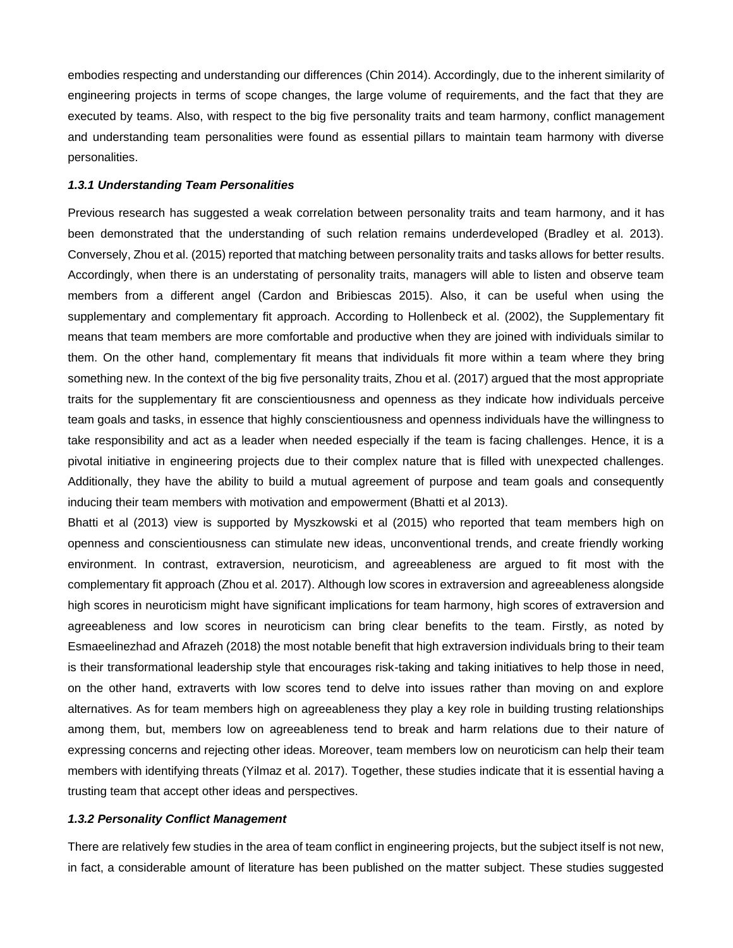embodies respecting and understanding our differences (Chin 2014). Accordingly, due to the inherent similarity of engineering projects in terms of scope changes, the large volume of requirements, and the fact that they are executed by teams. Also, with respect to the big five personality traits and team harmony, conflict management and understanding team personalities were found as essential pillars to maintain team harmony with diverse personalities.

### *1.3.1 Understanding Team Personalities*

Previous research has suggested a weak correlation between personality traits and team harmony, and it has been demonstrated that the understanding of such relation remains underdeveloped (Bradley et al. 2013). Conversely, Zhou et al. (2015) reported that matching between personality traits and tasks allows for better results. Accordingly, when there is an understating of personality traits, managers will able to listen and observe team members from a different angel (Cardon and Bribiescas 2015). Also, it can be useful when using the supplementary and complementary fit approach. According to Hollenbeck et al. (2002), the Supplementary fit means that team members are more comfortable and productive when they are joined with individuals similar to them. On the other hand, complementary fit means that individuals fit more within a team where they bring something new. In the context of the big five personality traits, Zhou et al. (2017) argued that the most appropriate traits for the supplementary fit are conscientiousness and openness as they indicate how individuals perceive team goals and tasks, in essence that highly conscientiousness and openness individuals have the willingness to take responsibility and act as a leader when needed especially if the team is facing challenges. Hence, it is a pivotal initiative in engineering projects due to their complex nature that is filled with unexpected challenges. Additionally, they have the ability to build a mutual agreement of purpose and team goals and consequently inducing their team members with motivation and empowerment (Bhatti et al 2013).

Bhatti et al (2013) view is supported by Myszkowski et al (2015) who reported that team members high on openness and conscientiousness can stimulate new ideas, unconventional trends, and create friendly working environment. In contrast, extraversion, neuroticism, and agreeableness are argued to fit most with the complementary fit approach (Zhou et al. 2017). Although low scores in extraversion and agreeableness alongside high scores in neuroticism might have significant implications for team harmony, high scores of extraversion and agreeableness and low scores in neuroticism can bring clear benefits to the team. Firstly, as noted by Esmaeelinezhad and Afrazeh (2018) the most notable benefit that high extraversion individuals bring to their team is their transformational leadership style that encourages risk-taking and taking initiatives to help those in need, on the other hand, extraverts with low scores tend to delve into issues rather than moving on and explore alternatives. As for team members high on agreeableness they play a key role in building trusting relationships among them, but, members low on agreeableness tend to break and harm relations due to their nature of expressing concerns and rejecting other ideas. Moreover, team members low on neuroticism can help their team members with identifying threats (Yilmaz et al. 2017). Together, these studies indicate that it is essential having a trusting team that accept other ideas and perspectives.

## *1.3.2 Personality Conflict Management*

There are relatively few studies in the area of team conflict in engineering projects, but the subject itself is not new, in fact, a considerable amount of literature has been published on the matter subject. These studies suggested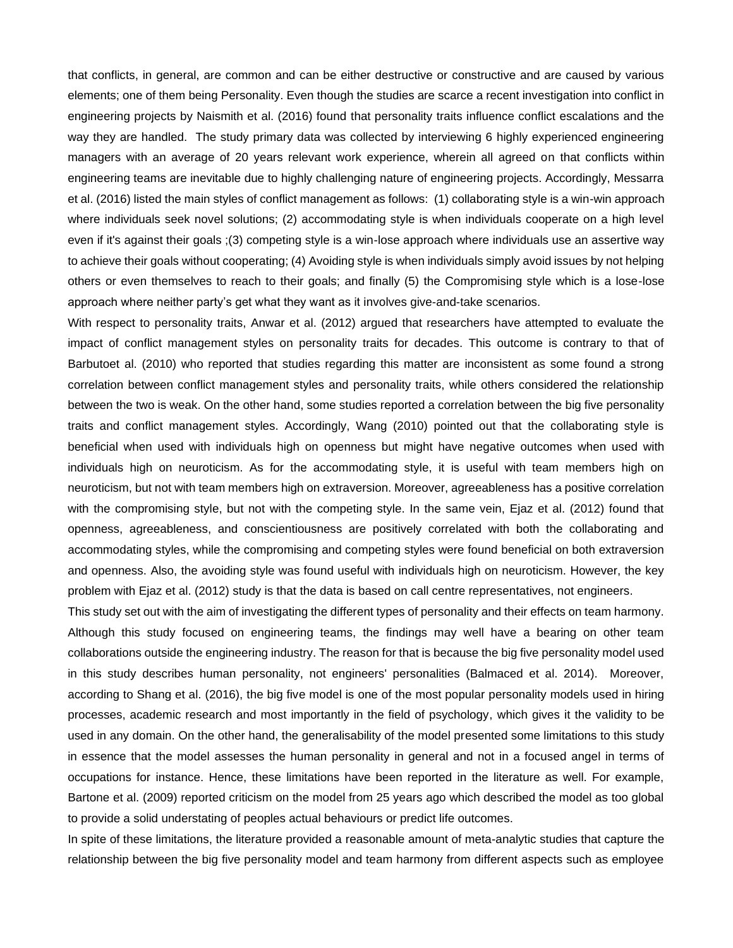that conflicts, in general, are common and can be either destructive or constructive and are caused by various elements; one of them being Personality. Even though the studies are scarce a recent investigation into conflict in engineering projects by Naismith et al. (2016) found that personality traits influence conflict escalations and the way they are handled. The study primary data was collected by interviewing 6 highly experienced engineering managers with an average of 20 years relevant work experience, wherein all agreed on that conflicts within engineering teams are inevitable due to highly challenging nature of engineering projects. Accordingly, Messarra et al. (2016) listed the main styles of conflict management as follows: (1) collaborating style is a win-win approach where individuals seek novel solutions; (2) accommodating style is when individuals cooperate on a high level even if it's against their goals ;(3) competing style is a win-lose approach where individuals use an assertive way to achieve their goals without cooperating; (4) Avoiding style is when individuals simply avoid issues by not helping others or even themselves to reach to their goals; and finally (5) the Compromising style which is a lose-lose approach where neither party's get what they want as it involves give-and-take scenarios.

With respect to personality traits, Anwar et al. (2012) argued that researchers have attempted to evaluate the impact of conflict management styles on personality traits for decades. This outcome is contrary to that of Barbutoet al. (2010) who reported that studies regarding this matter are inconsistent as some found a strong correlation between conflict management styles and personality traits, while others considered the relationship between the two is weak. On the other hand, some studies reported a correlation between the big five personality traits and conflict management styles. Accordingly, Wang (2010) pointed out that the collaborating style is beneficial when used with individuals high on openness but might have negative outcomes when used with individuals high on neuroticism. As for the accommodating style, it is useful with team members high on neuroticism, but not with team members high on extraversion. Moreover, agreeableness has a positive correlation with the compromising style, but not with the competing style. In the same vein, Ejaz et al. (2012) found that openness, agreeableness, and conscientiousness are positively correlated with both the collaborating and accommodating styles, while the compromising and competing styles were found beneficial on both extraversion and openness. Also, the avoiding style was found useful with individuals high on neuroticism. However, the key problem with Ejaz et al. (2012) study is that the data is based on call centre representatives, not engineers.

This study set out with the aim of investigating the different types of personality and their effects on team harmony. Although this study focused on engineering teams, the findings may well have a bearing on other team collaborations outside the engineering industry. The reason for that is because the big five personality model used in this study describes human personality, not engineers' personalities (Balmaced et al. 2014). Moreover, according to Shang et al. (2016), the big five model is one of the most popular personality models used in hiring processes, academic research and most importantly in the field of psychology, which gives it the validity to be used in any domain. On the other hand, the generalisability of the model presented some limitations to this study in essence that the model assesses the human personality in general and not in a focused angel in terms of occupations for instance. Hence, these limitations have been reported in the literature as well. For example, Bartone et al. (2009) reported criticism on the model from 25 years ago which described the model as too global to provide a solid understating of peoples actual behaviours or predict life outcomes.

In spite of these limitations, the literature provided a reasonable amount of meta-analytic studies that capture the relationship between the big five personality model and team harmony from different aspects such as employee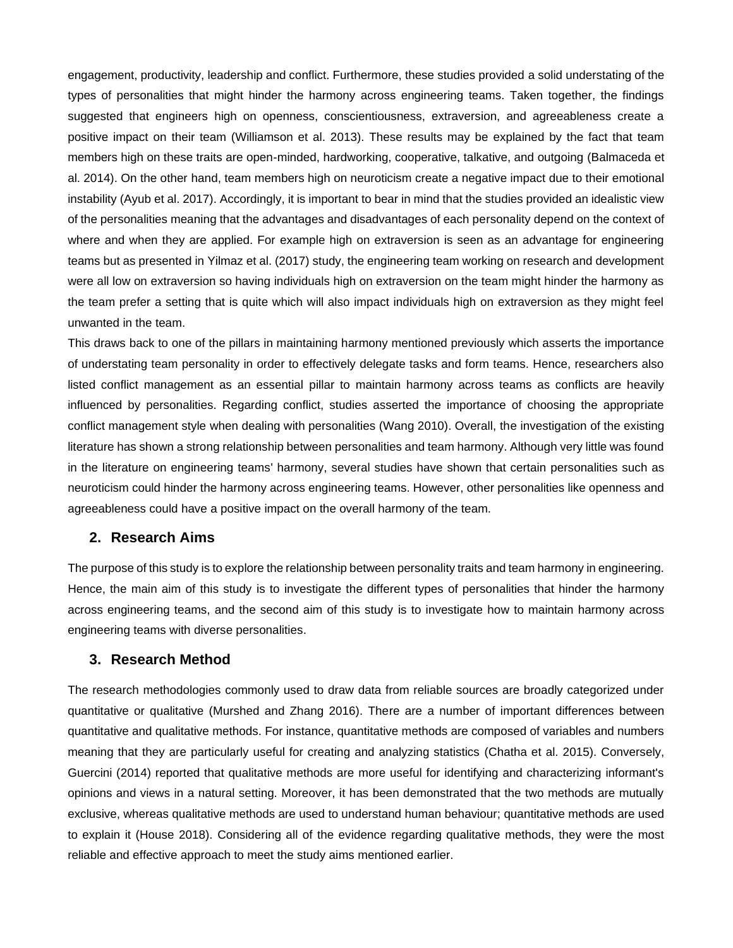engagement, productivity, leadership and conflict. Furthermore, these studies provided a solid understating of the types of personalities that might hinder the harmony across engineering teams. Taken together, the findings suggested that engineers high on openness, conscientiousness, extraversion, and agreeableness create a positive impact on their team (Williamson et al. 2013). These results may be explained by the fact that team members high on these traits are open-minded, hardworking, cooperative, talkative, and outgoing (Balmaceda et al. 2014). On the other hand, team members high on neuroticism create a negative impact due to their emotional instability (Ayub et al. 2017). Accordingly, it is important to bear in mind that the studies provided an idealistic view of the personalities meaning that the advantages and disadvantages of each personality depend on the context of where and when they are applied. For example high on extraversion is seen as an advantage for engineering teams but as presented in Yilmaz et al. (2017) study, the engineering team working on research and development were all low on extraversion so having individuals high on extraversion on the team might hinder the harmony as the team prefer a setting that is quite which will also impact individuals high on extraversion as they might feel unwanted in the team.

This draws back to one of the pillars in maintaining harmony mentioned previously which asserts the importance of understating team personality in order to effectively delegate tasks and form teams. Hence, researchers also listed conflict management as an essential pillar to maintain harmony across teams as conflicts are heavily influenced by personalities. Regarding conflict, studies asserted the importance of choosing the appropriate conflict management style when dealing with personalities (Wang 2010). Overall, the investigation of the existing literature has shown a strong relationship between personalities and team harmony. Although very little was found in the literature on engineering teams' harmony, several studies have shown that certain personalities such as neuroticism could hinder the harmony across engineering teams. However, other personalities like openness and agreeableness could have a positive impact on the overall harmony of the team.

# **2. Research Aims**

The purpose of this study is to explore the relationship between personality traits and team harmony in engineering. Hence, the main aim of this study is to investigate the different types of personalities that hinder the harmony across engineering teams, and the second aim of this study is to investigate how to maintain harmony across engineering teams with diverse personalities.

# **3. Research Method**

The research methodologies commonly used to draw data from reliable sources are broadly categorized under quantitative or qualitative (Murshed and Zhang 2016). There are a number of important differences between quantitative and qualitative methods. For instance, quantitative methods are composed of variables and numbers meaning that they are particularly useful for creating and analyzing statistics (Chatha et al. 2015). Conversely, Guercini (2014) reported that qualitative methods are more useful for identifying and characterizing informant's opinions and views in a natural setting. Moreover, it has been demonstrated that the two methods are mutually exclusive, whereas qualitative methods are used to understand human behaviour; quantitative methods are used to explain it (House 2018). Considering all of the evidence regarding qualitative methods, they were the most reliable and effective approach to meet the study aims mentioned earlier.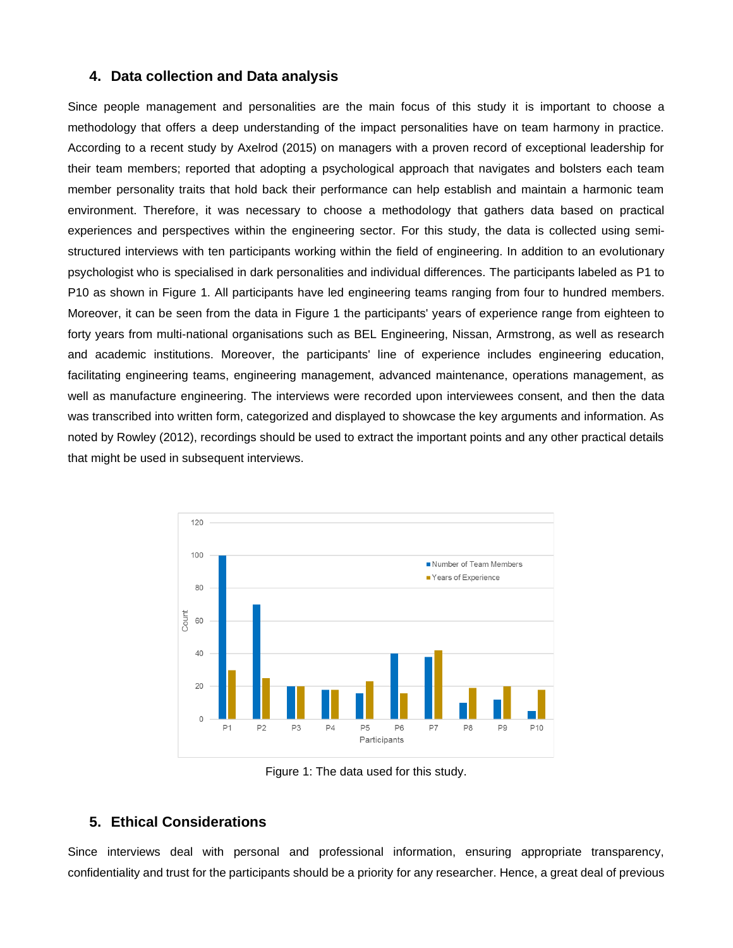# **4. Data collection and Data analysis**

Since people management and personalities are the main focus of this study it is important to choose a methodology that offers a deep understanding of the impact personalities have on team harmony in practice. According to a recent study by Axelrod (2015) on managers with a proven record of exceptional leadership for their team members; reported that adopting a psychological approach that navigates and bolsters each team member personality traits that hold back their performance can help establish and maintain a harmonic team environment. Therefore, it was necessary to choose a methodology that gathers data based on practical experiences and perspectives within the engineering sector. For this study, the data is collected using semistructured interviews with ten participants working within the field of engineering. In addition to an evolutionary psychologist who is specialised in dark personalities and individual differences. The participants labeled as P1 to P10 as shown in Figure 1. All participants have led engineering teams ranging from four to hundred members. Moreover, it can be seen from the data in Figure 1 the participants' years of experience range from eighteen to forty years from multi-national organisations such as BEL Engineering, Nissan, Armstrong, as well as research and academic institutions. Moreover, the participants' line of experience includes engineering education, facilitating engineering teams, engineering management, advanced maintenance, operations management, as well as manufacture engineering. The interviews were recorded upon interviewees consent, and then the data was transcribed into written form, categorized and displayed to showcase the key arguments and information. As noted by Rowley (2012), recordings should be used to extract the important points and any other practical details that might be used in subsequent interviews.



Figure 1: The data used for this study.

# **5. Ethical Considerations**

Since interviews deal with personal and professional information, ensuring appropriate transparency, confidentiality and trust for the participants should be a priority for any researcher. Hence, a great deal of previous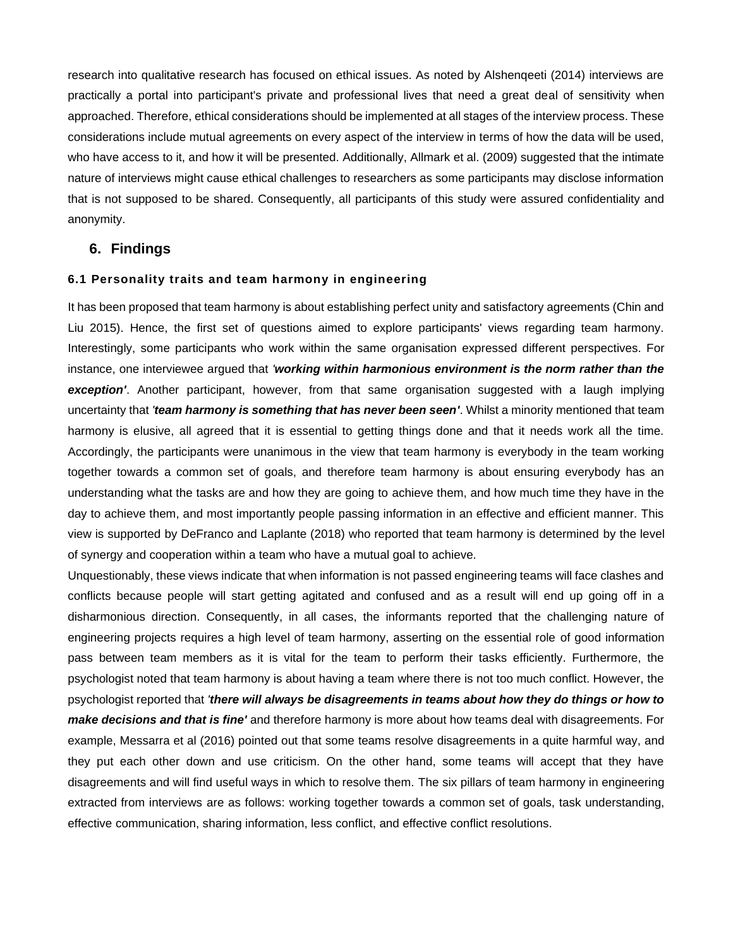research into qualitative research has focused on ethical issues. As noted by Alshenqeeti (2014) interviews are practically a portal into participant's private and professional lives that need a great deal of sensitivity when approached. Therefore, ethical considerations should be implemented at all stages of the interview process. These considerations include mutual agreements on every aspect of the interview in terms of how the data will be used, who have access to it, and how it will be presented. Additionally, Allmark et al. (2009) suggested that the intimate nature of interviews might cause ethical challenges to researchers as some participants may disclose information that is not supposed to be shared. Consequently, all participants of this study were assured confidentiality and anonymity.

# **6. Findings**

# **6.1 Personality traits and team harmony in engineering**

It has been proposed that team harmony is about establishing perfect unity and satisfactory agreements (Chin and Liu 2015). Hence, the first set of questions aimed to explore participants' views regarding team harmony. Interestingly, some participants who work within the same organisation expressed different perspectives. For instance, one interviewee argued that *'working within harmonious environment is the norm rather than the exception'*. Another participant, however, from that same organisation suggested with a laugh implying uncertainty that *'team harmony is something that has never been seen'*. Whilst a minority mentioned that team harmony is elusive, all agreed that it is essential to getting things done and that it needs work all the time. Accordingly, the participants were unanimous in the view that team harmony is everybody in the team working together towards a common set of goals, and therefore team harmony is about ensuring everybody has an understanding what the tasks are and how they are going to achieve them, and how much time they have in the day to achieve them, and most importantly people passing information in an effective and efficient manner. This view is supported by DeFranco and Laplante (2018) who reported that team harmony is determined by the level of synergy and cooperation within a team who have a mutual goal to achieve.

Unquestionably, these views indicate that when information is not passed engineering teams will face clashes and conflicts because people will start getting agitated and confused and as a result will end up going off in a disharmonious direction. Consequently, in all cases, the informants reported that the challenging nature of engineering projects requires a high level of team harmony, asserting on the essential role of good information pass between team members as it is vital for the team to perform their tasks efficiently. Furthermore, the psychologist noted that team harmony is about having a team where there is not too much conflict. However, the psychologist reported that *'there will always be disagreements in teams about how they do things or how to make decisions and that is fine'* and therefore harmony is more about how teams deal with disagreements. For example, Messarra et al (2016) pointed out that some teams resolve disagreements in a quite harmful way, and they put each other down and use criticism. On the other hand, some teams will accept that they have disagreements and will find useful ways in which to resolve them. The six pillars of team harmony in engineering extracted from interviews are as follows: working together towards a common set of goals, task understanding, effective communication, sharing information, less conflict, and effective conflict resolutions.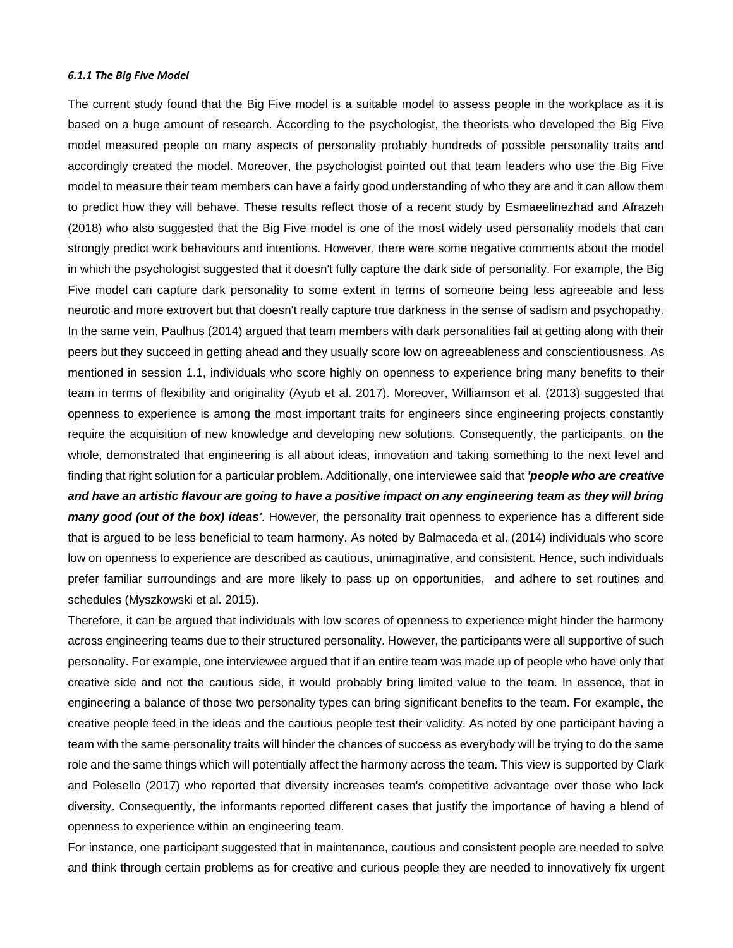#### *6.1.1 The Big Five Model*

The current study found that the Big Five model is a suitable model to assess people in the workplace as it is based on a huge amount of research. According to the psychologist, the theorists who developed the Big Five model measured people on many aspects of personality probably hundreds of possible personality traits and accordingly created the model. Moreover, the psychologist pointed out that team leaders who use the Big Five model to measure their team members can have a fairly good understanding of who they are and it can allow them to predict how they will behave. These results reflect those of a recent study by Esmaeelinezhad and Afrazeh (2018) who also suggested that the Big Five model is one of the most widely used personality models that can strongly predict work behaviours and intentions. However, there were some negative comments about the model in which the psychologist suggested that it doesn't fully capture the dark side of personality. For example, the Big Five model can capture dark personality to some extent in terms of someone being less agreeable and less neurotic and more extrovert but that doesn't really capture true darkness in the sense of sadism and psychopathy. In the same vein, Paulhus (2014) argued that team members with dark personalities fail at getting along with their peers but they succeed in getting ahead and they usually score low on agreeableness and conscientiousness. As mentioned in session 1.1, individuals who score highly on openness to experience bring many benefits to their team in terms of flexibility and originality (Ayub et al. 2017). Moreover, Williamson et al. (2013) suggested that openness to experience is among the most important traits for engineers since engineering projects constantly require the acquisition of new knowledge and developing new solutions. Consequently, the participants, on the whole, demonstrated that engineering is all about ideas, innovation and taking something to the next level and finding that right solution for a particular problem. Additionally, one interviewee said that *'people who are creative and have an artistic flavour are going to have a positive impact on any engineering team as they will bring many good (out of the box) ideas'*. However, the personality trait openness to experience has a different side that is argued to be less beneficial to team harmony. As noted by Balmaceda et al. (2014) individuals who score low on openness to experience are described as cautious, unimaginative, and consistent. Hence, such individuals prefer familiar surroundings and are more likely to pass up on opportunities, and adhere to set routines and schedules (Myszkowski et al. 2015).

Therefore, it can be argued that individuals with low scores of openness to experience might hinder the harmony across engineering teams due to their structured personality. However, the participants were all supportive of such personality. For example, one interviewee argued that if an entire team was made up of people who have only that creative side and not the cautious side, it would probably bring limited value to the team. In essence, that in engineering a balance of those two personality types can bring significant benefits to the team. For example, the creative people feed in the ideas and the cautious people test their validity. As noted by one participant having a team with the same personality traits will hinder the chances of success as everybody will be trying to do the same role and the same things which will potentially affect the harmony across the team. This view is supported by Clark and Polesello (2017) who reported that diversity increases team's competitive advantage over those who lack diversity. Consequently, the informants reported different cases that justify the importance of having a blend of openness to experience within an engineering team.

For instance, one participant suggested that in maintenance, cautious and consistent people are needed to solve and think through certain problems as for creative and curious people they are needed to innovatively fix urgent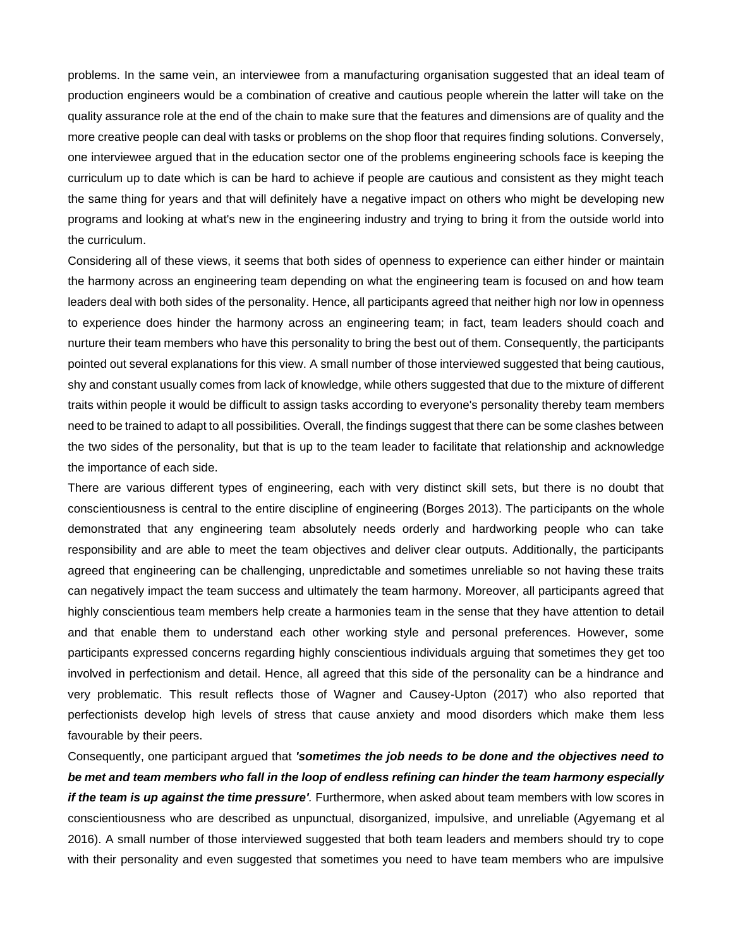problems. In the same vein, an interviewee from a manufacturing organisation suggested that an ideal team of production engineers would be a combination of creative and cautious people wherein the latter will take on the quality assurance role at the end of the chain to make sure that the features and dimensions are of quality and the more creative people can deal with tasks or problems on the shop floor that requires finding solutions. Conversely, one interviewee argued that in the education sector one of the problems engineering schools face is keeping the curriculum up to date which is can be hard to achieve if people are cautious and consistent as they might teach the same thing for years and that will definitely have a negative impact on others who might be developing new programs and looking at what's new in the engineering industry and trying to bring it from the outside world into the curriculum.

Considering all of these views, it seems that both sides of openness to experience can either hinder or maintain the harmony across an engineering team depending on what the engineering team is focused on and how team leaders deal with both sides of the personality. Hence, all participants agreed that neither high nor low in openness to experience does hinder the harmony across an engineering team; in fact, team leaders should coach and nurture their team members who have this personality to bring the best out of them. Consequently, the participants pointed out several explanations for this view. A small number of those interviewed suggested that being cautious, shy and constant usually comes from lack of knowledge, while others suggested that due to the mixture of different traits within people it would be difficult to assign tasks according to everyone's personality thereby team members need to be trained to adapt to all possibilities. Overall, the findings suggest that there can be some clashes between the two sides of the personality, but that is up to the team leader to facilitate that relationship and acknowledge the importance of each side.

There are various different types of engineering, each with very distinct skill sets, but there is no doubt that conscientiousness is central to the entire discipline of engineering (Borges 2013). The participants on the whole demonstrated that any engineering team absolutely needs orderly and hardworking people who can take responsibility and are able to meet the team objectives and deliver clear outputs. Additionally, the participants agreed that engineering can be challenging, unpredictable and sometimes unreliable so not having these traits can negatively impact the team success and ultimately the team harmony. Moreover, all participants agreed that highly conscientious team members help create a harmonies team in the sense that they have attention to detail and that enable them to understand each other working style and personal preferences. However, some participants expressed concerns regarding highly conscientious individuals arguing that sometimes they get too involved in perfectionism and detail. Hence, all agreed that this side of the personality can be a hindrance and very problematic. This result reflects those of Wagner and Causey-Upton (2017) who also reported that perfectionists develop high levels of stress that cause anxiety and mood disorders which make them less favourable by their peers.

Consequently, one participant argued that *'sometimes the job needs to be done and the objectives need to be met and team members who fall in the loop of endless refining can hinder the team harmony especially if the team is up against the time pressure'*. Furthermore, when asked about team members with low scores in conscientiousness who are described as unpunctual, disorganized, impulsive, and unreliable (Agyemang et al 2016). A small number of those interviewed suggested that both team leaders and members should try to cope with their personality and even suggested that sometimes you need to have team members who are impulsive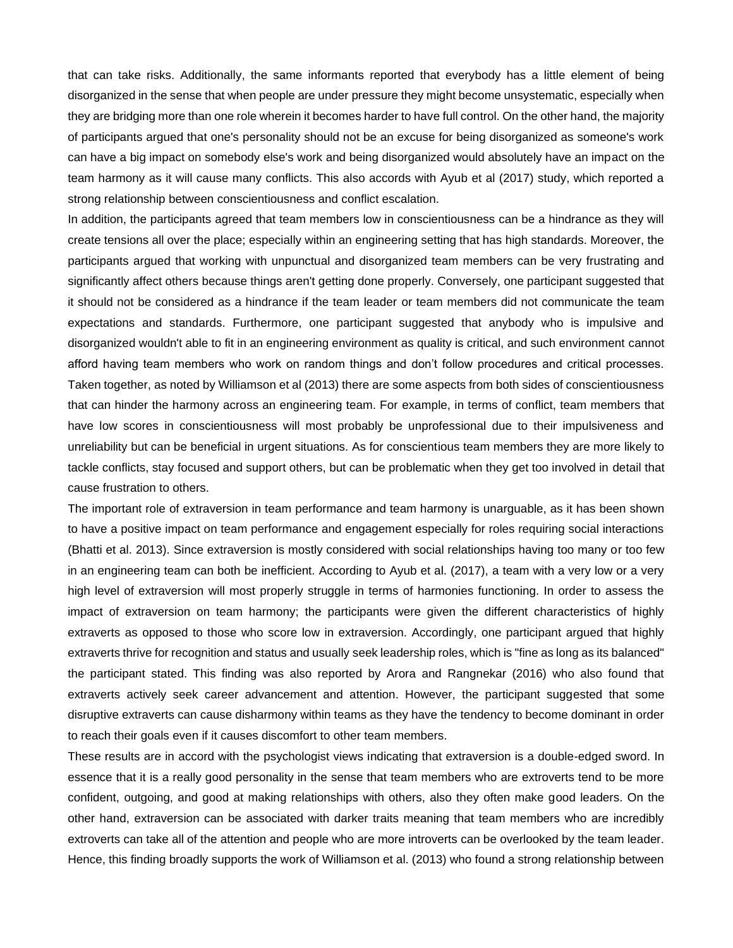that can take risks. Additionally, the same informants reported that everybody has a little element of being disorganized in the sense that when people are under pressure they might become unsystematic, especially when they are bridging more than one role wherein it becomes harder to have full control. On the other hand, the majority of participants argued that one's personality should not be an excuse for being disorganized as someone's work can have a big impact on somebody else's work and being disorganized would absolutely have an impact on the team harmony as it will cause many conflicts. This also accords with Ayub et al (2017) study, which reported a strong relationship between conscientiousness and conflict escalation.

In addition, the participants agreed that team members low in conscientiousness can be a hindrance as they will create tensions all over the place; especially within an engineering setting that has high standards. Moreover, the participants argued that working with unpunctual and disorganized team members can be very frustrating and significantly affect others because things aren't getting done properly. Conversely, one participant suggested that it should not be considered as a hindrance if the team leader or team members did not communicate the team expectations and standards. Furthermore, one participant suggested that anybody who is impulsive and disorganized wouldn't able to fit in an engineering environment as quality is critical, and such environment cannot afford having team members who work on random things and don't follow procedures and critical processes. Taken together, as noted by Williamson et al (2013) there are some aspects from both sides of conscientiousness that can hinder the harmony across an engineering team. For example, in terms of conflict, team members that have low scores in conscientiousness will most probably be unprofessional due to their impulsiveness and unreliability but can be beneficial in urgent situations. As for conscientious team members they are more likely to tackle conflicts, stay focused and support others, but can be problematic when they get too involved in detail that cause frustration to others.

The important role of extraversion in team performance and team harmony is unarguable, as it has been shown to have a positive impact on team performance and engagement especially for roles requiring social interactions (Bhatti et al. 2013). Since extraversion is mostly considered with social relationships having too many or too few in an engineering team can both be inefficient. According to Ayub et al. (2017), a team with a very low or a very high level of extraversion will most properly struggle in terms of harmonies functioning. In order to assess the impact of extraversion on team harmony; the participants were given the different characteristics of highly extraverts as opposed to those who score low in extraversion. Accordingly, one participant argued that highly extraverts thrive for recognition and status and usually seek leadership roles, which is "fine as long as its balanced" the participant stated. This finding was also reported by Arora and Rangnekar (2016) who also found that extraverts actively seek career advancement and attention. However, the participant suggested that some disruptive extraverts can cause disharmony within teams as they have the tendency to become dominant in order to reach their goals even if it causes discomfort to other team members.

These results are in accord with the psychologist views indicating that extraversion is a double-edged sword. In essence that it is a really good personality in the sense that team members who are extroverts tend to be more confident, outgoing, and good at making relationships with others, also they often make good leaders. On the other hand, extraversion can be associated with darker traits meaning that team members who are incredibly extroverts can take all of the attention and people who are more introverts can be overlooked by the team leader. Hence, this finding broadly supports the work of Williamson et al. (2013) who found a strong relationship between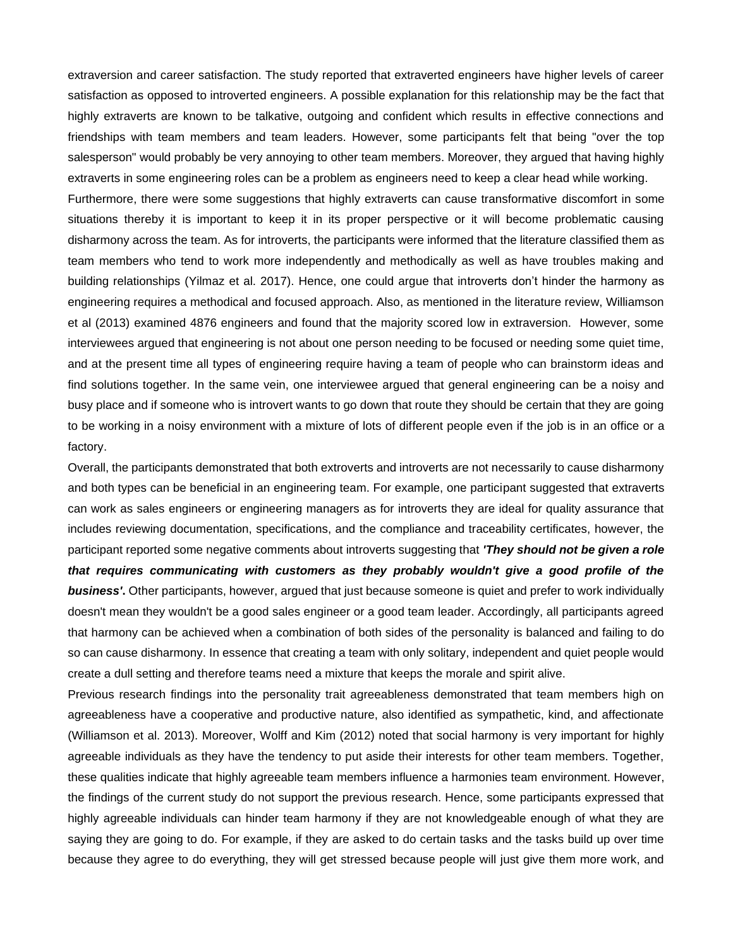extraversion and career satisfaction. The study reported that extraverted engineers have higher levels of career satisfaction as opposed to introverted engineers. A possible explanation for this relationship may be the fact that highly extraverts are known to be talkative, outgoing and confident which results in effective connections and friendships with team members and team leaders. However, some participants felt that being "over the top salesperson" would probably be very annoying to other team members. Moreover, they argued that having highly extraverts in some engineering roles can be a problem as engineers need to keep a clear head while working.

Furthermore, there were some suggestions that highly extraverts can cause transformative discomfort in some situations thereby it is important to keep it in its proper perspective or it will become problematic causing disharmony across the team. As for introverts, the participants were informed that the literature classified them as team members who tend to work more independently and methodically as well as have troubles making and building relationships (Yilmaz et al. 2017). Hence, one could argue that introverts don't hinder the harmony as engineering requires a methodical and focused approach. Also, as mentioned in the literature review, Williamson et al (2013) examined 4876 engineers and found that the majority scored low in extraversion. However, some interviewees argued that engineering is not about one person needing to be focused or needing some quiet time, and at the present time all types of engineering require having a team of people who can brainstorm ideas and find solutions together. In the same vein, one interviewee argued that general engineering can be a noisy and busy place and if someone who is introvert wants to go down that route they should be certain that they are going to be working in a noisy environment with a mixture of lots of different people even if the job is in an office or a factory.

Overall, the participants demonstrated that both extroverts and introverts are not necessarily to cause disharmony and both types can be beneficial in an engineering team. For example, one participant suggested that extraverts can work as sales engineers or engineering managers as for introverts they are ideal for quality assurance that includes reviewing documentation, specifications, and the compliance and traceability certificates, however, the participant reported some negative comments about introverts suggesting that *'They should not be given a role that requires communicating with customers as they probably wouldn't give a good profile of the business'***.** Other participants, however, argued that just because someone is quiet and prefer to work individually doesn't mean they wouldn't be a good sales engineer or a good team leader. Accordingly, all participants agreed that harmony can be achieved when a combination of both sides of the personality is balanced and failing to do so can cause disharmony. In essence that creating a team with only solitary, independent and quiet people would create a dull setting and therefore teams need a mixture that keeps the morale and spirit alive.

Previous research findings into the personality trait agreeableness demonstrated that team members high on agreeableness have a cooperative and productive nature, also identified as sympathetic, kind, and affectionate (Williamson et al. 2013). Moreover, Wolff and Kim (2012) noted that social harmony is very important for highly agreeable individuals as they have the tendency to put aside their interests for other team members. Together, these qualities indicate that highly agreeable team members influence a harmonies team environment. However, the findings of the current study do not support the previous research. Hence, some participants expressed that highly agreeable individuals can hinder team harmony if they are not knowledgeable enough of what they are saying they are going to do. For example, if they are asked to do certain tasks and the tasks build up over time because they agree to do everything, they will get stressed because people will just give them more work, and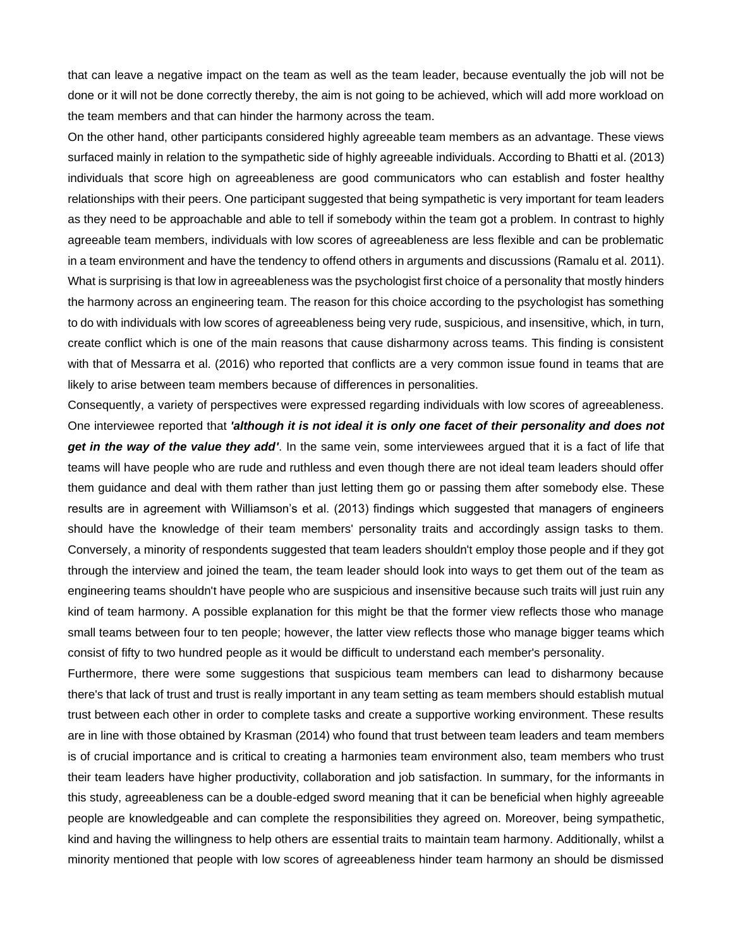that can leave a negative impact on the team as well as the team leader, because eventually the job will not be done or it will not be done correctly thereby, the aim is not going to be achieved, which will add more workload on the team members and that can hinder the harmony across the team.

On the other hand, other participants considered highly agreeable team members as an advantage. These views surfaced mainly in relation to the sympathetic side of highly agreeable individuals. According to Bhatti et al. (2013) individuals that score high on agreeableness are good communicators who can establish and foster healthy relationships with their peers. One participant suggested that being sympathetic is very important for team leaders as they need to be approachable and able to tell if somebody within the team got a problem. In contrast to highly agreeable team members, individuals with low scores of agreeableness are less flexible and can be problematic in a team environment and have the tendency to offend others in arguments and discussions (Ramalu et al. 2011). What is surprising is that low in agreeableness was the psychologist first choice of a personality that mostly hinders the harmony across an engineering team. The reason for this choice according to the psychologist has something to do with individuals with low scores of agreeableness being very rude, suspicious, and insensitive, which, in turn, create conflict which is one of the main reasons that cause disharmony across teams. This finding is consistent with that of Messarra et al. (2016) who reported that conflicts are a very common issue found in teams that are likely to arise between team members because of differences in personalities.

Consequently, a variety of perspectives were expressed regarding individuals with low scores of agreeableness. One interviewee reported that *'although it is not ideal it is only one facet of their personality and does not get in the way of the value they add'*. In the same vein, some interviewees argued that it is a fact of life that teams will have people who are rude and ruthless and even though there are not ideal team leaders should offer them guidance and deal with them rather than just letting them go or passing them after somebody else. These results are in agreement with Williamson's et al. (2013) findings which suggested that managers of engineers should have the knowledge of their team members' personality traits and accordingly assign tasks to them. Conversely, a minority of respondents suggested that team leaders shouldn't employ those people and if they got through the interview and joined the team, the team leader should look into ways to get them out of the team as engineering teams shouldn't have people who are suspicious and insensitive because such traits will just ruin any kind of team harmony. A possible explanation for this might be that the former view reflects those who manage small teams between four to ten people; however, the latter view reflects those who manage bigger teams which consist of fifty to two hundred people as it would be difficult to understand each member's personality.

Furthermore, there were some suggestions that suspicious team members can lead to disharmony because there's that lack of trust and trust is really important in any team setting as team members should establish mutual trust between each other in order to complete tasks and create a supportive working environment. These results are in line with those obtained by Krasman (2014) who found that trust between team leaders and team members is of crucial importance and is critical to creating a harmonies team environment also, team members who trust their team leaders have higher productivity, collaboration and job satisfaction. In summary, for the informants in this study, agreeableness can be a double-edged sword meaning that it can be beneficial when highly agreeable people are knowledgeable and can complete the responsibilities they agreed on. Moreover, being sympathetic, kind and having the willingness to help others are essential traits to maintain team harmony. Additionally, whilst a minority mentioned that people with low scores of agreeableness hinder team harmony an should be dismissed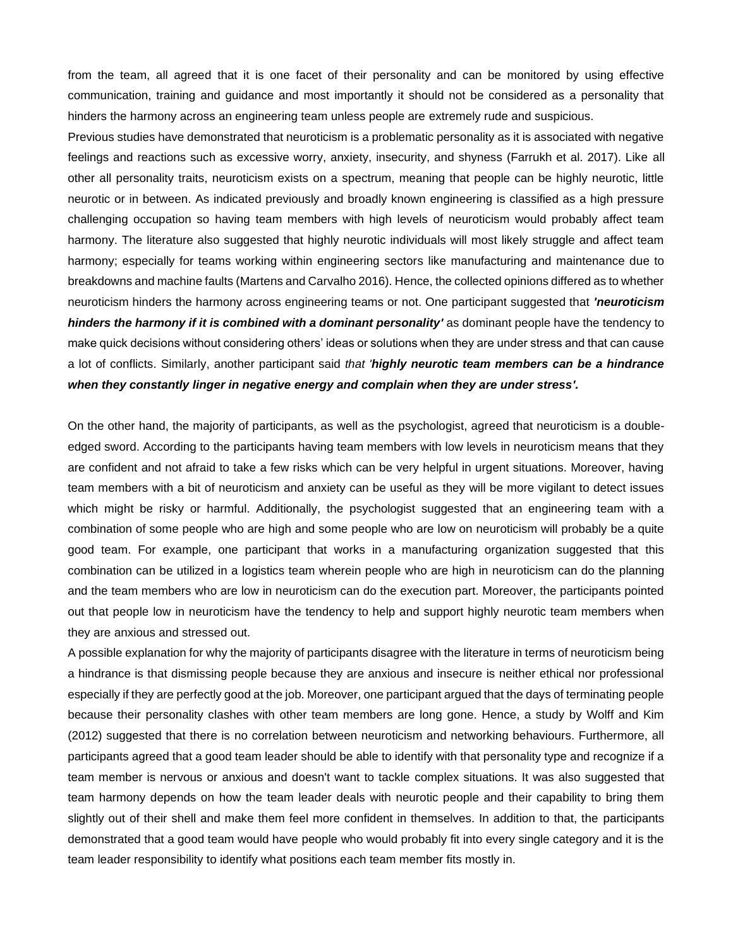from the team, all agreed that it is one facet of their personality and can be monitored by using effective communication, training and guidance and most importantly it should not be considered as a personality that hinders the harmony across an engineering team unless people are extremely rude and suspicious.

Previous studies have demonstrated that neuroticism is a problematic personality as it is associated with negative feelings and reactions such as excessive worry, anxiety, insecurity, and shyness (Farrukh et al. 2017). Like all other all personality traits, neuroticism exists on a spectrum, meaning that people can be highly neurotic, little neurotic or in between. As indicated previously and broadly known engineering is classified as a high pressure challenging occupation so having team members with high levels of neuroticism would probably affect team harmony. The literature also suggested that highly neurotic individuals will most likely struggle and affect team harmony; especially for teams working within engineering sectors like manufacturing and maintenance due to breakdowns and machine faults (Martens and Carvalho 2016). Hence, the collected opinions differed as to whether neuroticism hinders the harmony across engineering teams or not. One participant suggested that *'neuroticism hinders the harmony if it is combined with a dominant personality'* as dominant people have the tendency to make quick decisions without considering others' ideas or solutions when they are under stress and that can cause a lot of conflicts. Similarly, another participant said *that 'highly neurotic team members can be a hindrance when they constantly linger in negative energy and complain when they are under stress'.* 

On the other hand, the majority of participants, as well as the psychologist, agreed that neuroticism is a doubleedged sword. According to the participants having team members with low levels in neuroticism means that they are confident and not afraid to take a few risks which can be very helpful in urgent situations. Moreover, having team members with a bit of neuroticism and anxiety can be useful as they will be more vigilant to detect issues which might be risky or harmful. Additionally, the psychologist suggested that an engineering team with a combination of some people who are high and some people who are low on neuroticism will probably be a quite good team. For example, one participant that works in a manufacturing organization suggested that this combination can be utilized in a logistics team wherein people who are high in neuroticism can do the planning and the team members who are low in neuroticism can do the execution part. Moreover, the participants pointed out that people low in neuroticism have the tendency to help and support highly neurotic team members when they are anxious and stressed out.

A possible explanation for why the majority of participants disagree with the literature in terms of neuroticism being a hindrance is that dismissing people because they are anxious and insecure is neither ethical nor professional especially if they are perfectly good at the job. Moreover, one participant argued that the days of terminating people because their personality clashes with other team members are long gone. Hence, a study by Wolff and Kim (2012) suggested that there is no correlation between neuroticism and networking behaviours. Furthermore, all participants agreed that a good team leader should be able to identify with that personality type and recognize if a team member is nervous or anxious and doesn't want to tackle complex situations. It was also suggested that team harmony depends on how the team leader deals with neurotic people and their capability to bring them slightly out of their shell and make them feel more confident in themselves. In addition to that, the participants demonstrated that a good team would have people who would probably fit into every single category and it is the team leader responsibility to identify what positions each team member fits mostly in.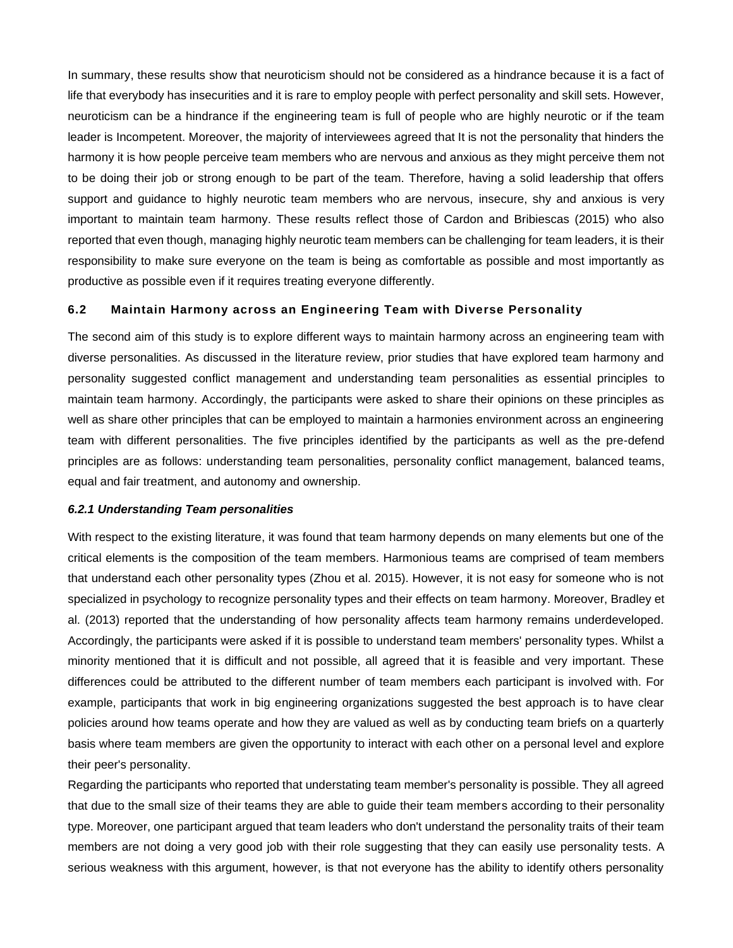In summary, these results show that neuroticism should not be considered as a hindrance because it is a fact of life that everybody has insecurities and it is rare to employ people with perfect personality and skill sets. However, neuroticism can be a hindrance if the engineering team is full of people who are highly neurotic or if the team leader is Incompetent. Moreover, the majority of interviewees agreed that It is not the personality that hinders the harmony it is how people perceive team members who are nervous and anxious as they might perceive them not to be doing their job or strong enough to be part of the team. Therefore, having a solid leadership that offers support and guidance to highly neurotic team members who are nervous, insecure, shy and anxious is very important to maintain team harmony. These results reflect those of Cardon and Bribiescas (2015) who also reported that even though, managing highly neurotic team members can be challenging for team leaders, it is their responsibility to make sure everyone on the team is being as comfortable as possible and most importantly as productive as possible even if it requires treating everyone differently.

# **6.2 Maintain Harmony across an Engineering Team with Diverse Personality**

The second aim of this study is to explore different ways to maintain harmony across an engineering team with diverse personalities. As discussed in the literature review, prior studies that have explored team harmony and personality suggested conflict management and understanding team personalities as essential principles to maintain team harmony. Accordingly, the participants were asked to share their opinions on these principles as well as share other principles that can be employed to maintain a harmonies environment across an engineering team with different personalities. The five principles identified by the participants as well as the pre-defend principles are as follows: understanding team personalities, personality conflict management, balanced teams, equal and fair treatment, and autonomy and ownership.

## *6.2.1 Understanding Team personalities*

With respect to the existing literature, it was found that team harmony depends on many elements but one of the critical elements is the composition of the team members. Harmonious teams are comprised of team members that understand each other personality types (Zhou et al. 2015). However, it is not easy for someone who is not specialized in psychology to recognize personality types and their effects on team harmony. Moreover, Bradley et al. (2013) reported that the understanding of how personality affects team harmony remains underdeveloped. Accordingly, the participants were asked if it is possible to understand team members' personality types. Whilst a minority mentioned that it is difficult and not possible, all agreed that it is feasible and very important. These differences could be attributed to the different number of team members each participant is involved with. For example, participants that work in big engineering organizations suggested the best approach is to have clear policies around how teams operate and how they are valued as well as by conducting team briefs on a quarterly basis where team members are given the opportunity to interact with each other on a personal level and explore their peer's personality.

Regarding the participants who reported that understating team member's personality is possible. They all agreed that due to the small size of their teams they are able to guide their team members according to their personality type. Moreover, one participant argued that team leaders who don't understand the personality traits of their team members are not doing a very good job with their role suggesting that they can easily use personality tests. A serious weakness with this argument, however, is that not everyone has the ability to identify others personality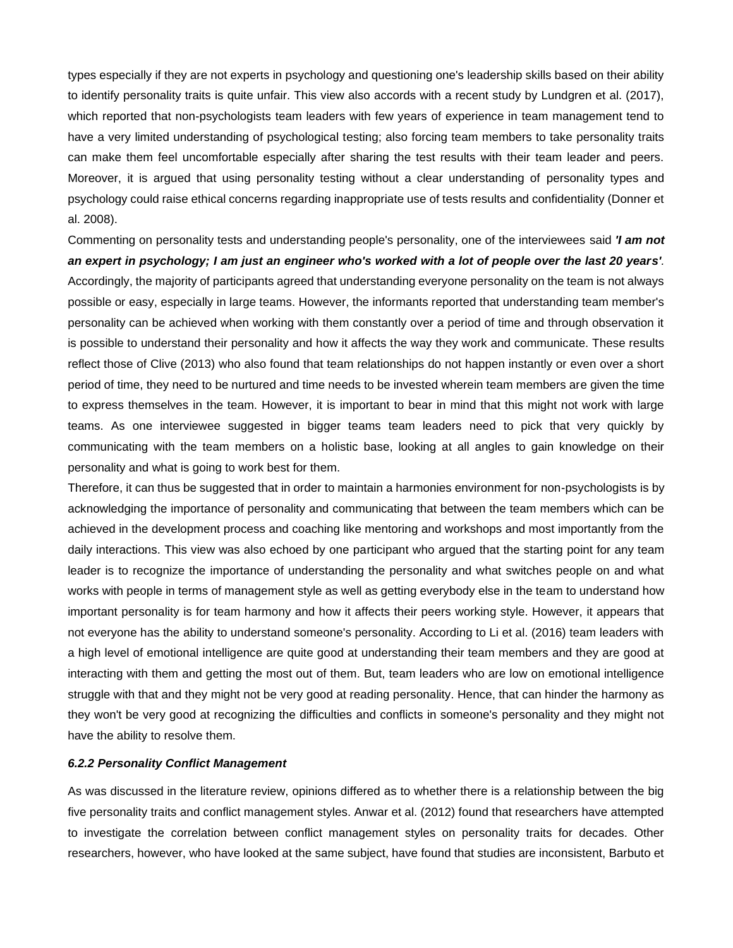types especially if they are not experts in psychology and questioning one's leadership skills based on their ability to identify personality traits is quite unfair. This view also accords with a recent study by Lundgren et al. (2017), which reported that non-psychologists team leaders with few years of experience in team management tend to have a very limited understanding of psychological testing; also forcing team members to take personality traits can make them feel uncomfortable especially after sharing the test results with their team leader and peers. Moreover, it is argued that using personality testing without a clear understanding of personality types and psychology could raise ethical concerns regarding inappropriate use of tests results and confidentiality (Donner et al. 2008).

Commenting on personality tests and understanding people's personality, one of the interviewees said *'I am not an expert in psychology; I am just an engineer who's worked with a lot of people over the last 20 years'.* Accordingly, the majority of participants agreed that understanding everyone personality on the team is not always possible or easy, especially in large teams. However, the informants reported that understanding team member's personality can be achieved when working with them constantly over a period of time and through observation it is possible to understand their personality and how it affects the way they work and communicate. These results reflect those of Clive (2013) who also found that team relationships do not happen instantly or even over a short period of time, they need to be nurtured and time needs to be invested wherein team members are given the time to express themselves in the team. However, it is important to bear in mind that this might not work with large teams. As one interviewee suggested in bigger teams team leaders need to pick that very quickly by communicating with the team members on a holistic base, looking at all angles to gain knowledge on their personality and what is going to work best for them.

Therefore, it can thus be suggested that in order to maintain a harmonies environment for non-psychologists is by acknowledging the importance of personality and communicating that between the team members which can be achieved in the development process and coaching like mentoring and workshops and most importantly from the daily interactions. This view was also echoed by one participant who argued that the starting point for any team leader is to recognize the importance of understanding the personality and what switches people on and what works with people in terms of management style as well as getting everybody else in the team to understand how important personality is for team harmony and how it affects their peers working style. However, it appears that not everyone has the ability to understand someone's personality. According to Li et al. (2016) team leaders with a high level of emotional intelligence are quite good at understanding their team members and they are good at interacting with them and getting the most out of them. But, team leaders who are low on emotional intelligence struggle with that and they might not be very good at reading personality. Hence, that can hinder the harmony as they won't be very good at recognizing the difficulties and conflicts in someone's personality and they might not have the ability to resolve them.

# *6.2.2 Personality Conflict Management*

As was discussed in the literature review, opinions differed as to whether there is a relationship between the big five personality traits and conflict management styles. Anwar et al. (2012) found that researchers have attempted to investigate the correlation between conflict management styles on personality traits for decades. Other researchers, however, who have looked at the same subject, have found that studies are inconsistent, Barbuto et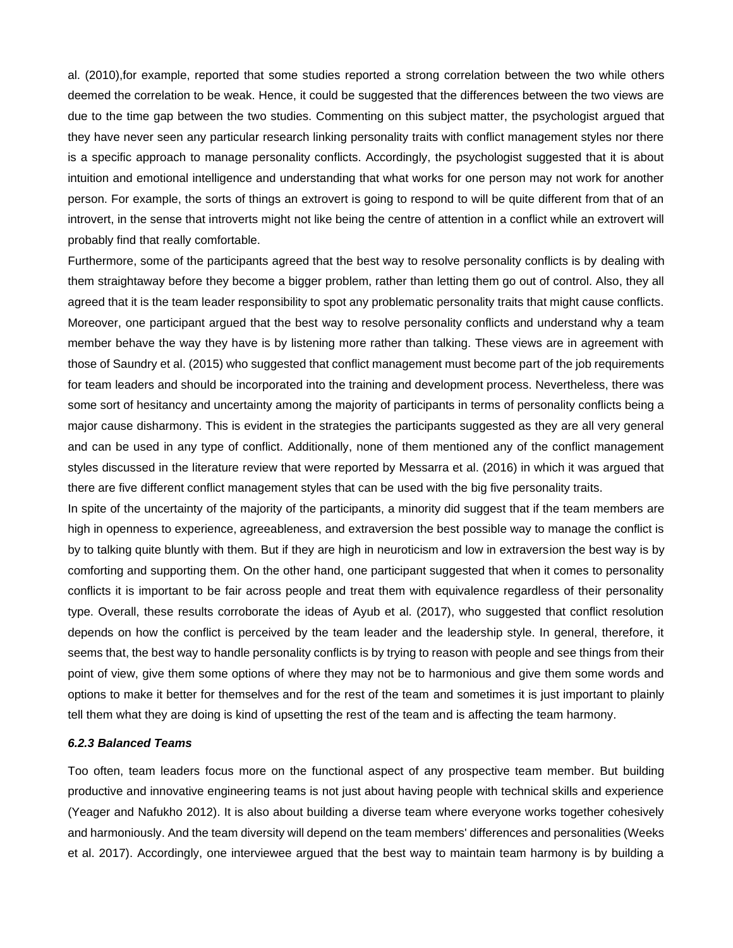al. (2010),for example, reported that some studies reported a strong correlation between the two while others deemed the correlation to be weak. Hence, it could be suggested that the differences between the two views are due to the time gap between the two studies. Commenting on this subject matter, the psychologist argued that they have never seen any particular research linking personality traits with conflict management styles nor there is a specific approach to manage personality conflicts. Accordingly, the psychologist suggested that it is about intuition and emotional intelligence and understanding that what works for one person may not work for another person. For example, the sorts of things an extrovert is going to respond to will be quite different from that of an introvert, in the sense that introverts might not like being the centre of attention in a conflict while an extrovert will probably find that really comfortable.

Furthermore, some of the participants agreed that the best way to resolve personality conflicts is by dealing with them straightaway before they become a bigger problem, rather than letting them go out of control. Also, they all agreed that it is the team leader responsibility to spot any problematic personality traits that might cause conflicts. Moreover, one participant argued that the best way to resolve personality conflicts and understand why a team member behave the way they have is by listening more rather than talking. These views are in agreement with those of Saundry et al. (2015) who suggested that conflict management must become part of the job requirements for team leaders and should be incorporated into the training and development process. Nevertheless, there was some sort of hesitancy and uncertainty among the majority of participants in terms of personality conflicts being a major cause disharmony. This is evident in the strategies the participants suggested as they are all very general and can be used in any type of conflict. Additionally, none of them mentioned any of the conflict management styles discussed in the literature review that were reported by Messarra et al. (2016) in which it was argued that there are five different conflict management styles that can be used with the big five personality traits.

In spite of the uncertainty of the majority of the participants, a minority did suggest that if the team members are high in openness to experience, agreeableness, and extraversion the best possible way to manage the conflict is by to talking quite bluntly with them. But if they are high in neuroticism and low in extraversion the best way is by comforting and supporting them. On the other hand, one participant suggested that when it comes to personality conflicts it is important to be fair across people and treat them with equivalence regardless of their personality type. Overall, these results corroborate the ideas of Ayub et al. (2017), who suggested that conflict resolution depends on how the conflict is perceived by the team leader and the leadership style. In general, therefore, it seems that, the best way to handle personality conflicts is by trying to reason with people and see things from their point of view, give them some options of where they may not be to harmonious and give them some words and options to make it better for themselves and for the rest of the team and sometimes it is just important to plainly tell them what they are doing is kind of upsetting the rest of the team and is affecting the team harmony.

## *6.2.3 Balanced Teams*

Too often, team leaders focus more on the functional aspect of any prospective team member. But building productive and innovative engineering teams is not just about having people with technical skills and experience (Yeager and Nafukho 2012). It is also about building a diverse team where everyone works together cohesively and harmoniously. And the team diversity will depend on the team members' differences and personalities (Weeks et al. 2017). Accordingly, one interviewee argued that the best way to maintain team harmony is by building a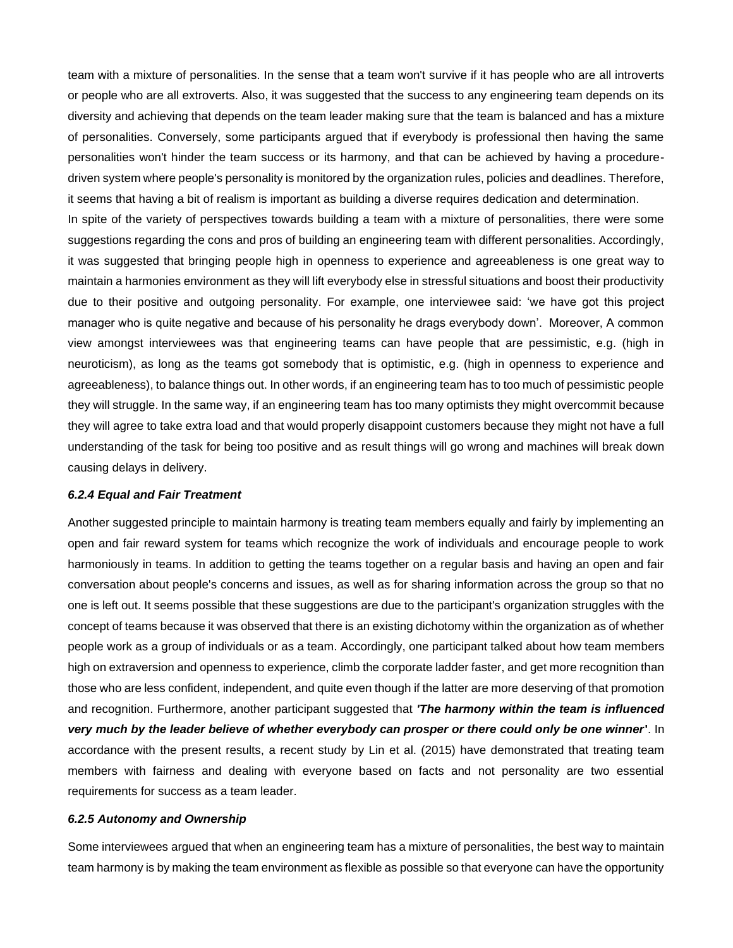team with a mixture of personalities. In the sense that a team won't survive if it has people who are all introverts or people who are all extroverts. Also, it was suggested that the success to any engineering team depends on its diversity and achieving that depends on the team leader making sure that the team is balanced and has a mixture of personalities. Conversely, some participants argued that if everybody is professional then having the same personalities won't hinder the team success or its harmony, and that can be achieved by having a proceduredriven system where people's personality is monitored by the organization rules, policies and deadlines. Therefore, it seems that having a bit of realism is important as building a diverse requires dedication and determination.

In spite of the variety of perspectives towards building a team with a mixture of personalities, there were some suggestions regarding the cons and pros of building an engineering team with different personalities. Accordingly, it was suggested that bringing people high in openness to experience and agreeableness is one great way to maintain a harmonies environment as they will lift everybody else in stressful situations and boost their productivity due to their positive and outgoing personality. For example, one interviewee said: 'we have got this project manager who is quite negative and because of his personality he drags everybody down'. Moreover, A common view amongst interviewees was that engineering teams can have people that are pessimistic, e.g. (high in neuroticism), as long as the teams got somebody that is optimistic, e.g. (high in openness to experience and agreeableness), to balance things out. In other words, if an engineering team has to too much of pessimistic people they will struggle. In the same way, if an engineering team has too many optimists they might overcommit because they will agree to take extra load and that would properly disappoint customers because they might not have a full understanding of the task for being too positive and as result things will go wrong and machines will break down causing delays in delivery.

## *6.2.4 Equal and Fair Treatment*

Another suggested principle to maintain harmony is treating team members equally and fairly by implementing an open and fair reward system for teams which recognize the work of individuals and encourage people to work harmoniously in teams. In addition to getting the teams together on a regular basis and having an open and fair conversation about people's concerns and issues, as well as for sharing information across the group so that no one is left out. It seems possible that these suggestions are due to the participant's organization struggles with the concept of teams because it was observed that there is an existing dichotomy within the organization as of whether people work as a group of individuals or as a team. Accordingly, one participant talked about how team members high on extraversion and openness to experience, climb the corporate ladder faster, and get more recognition than those who are less confident, independent, and quite even though if the latter are more deserving of that promotion and recognition. Furthermore, another participant suggested that *'The harmony within the team is influenced very much by the leader believe of whether everybody can prosper or there could only be one winner***'**. In accordance with the present results, a recent study by Lin et al. (2015) have demonstrated that treating team members with fairness and dealing with everyone based on facts and not personality are two essential requirements for success as a team leader.

# *6.2.5 Autonomy and Ownership*

Some interviewees argued that when an engineering team has a mixture of personalities, the best way to maintain team harmony is by making the team environment as flexible as possible so that everyone can have the opportunity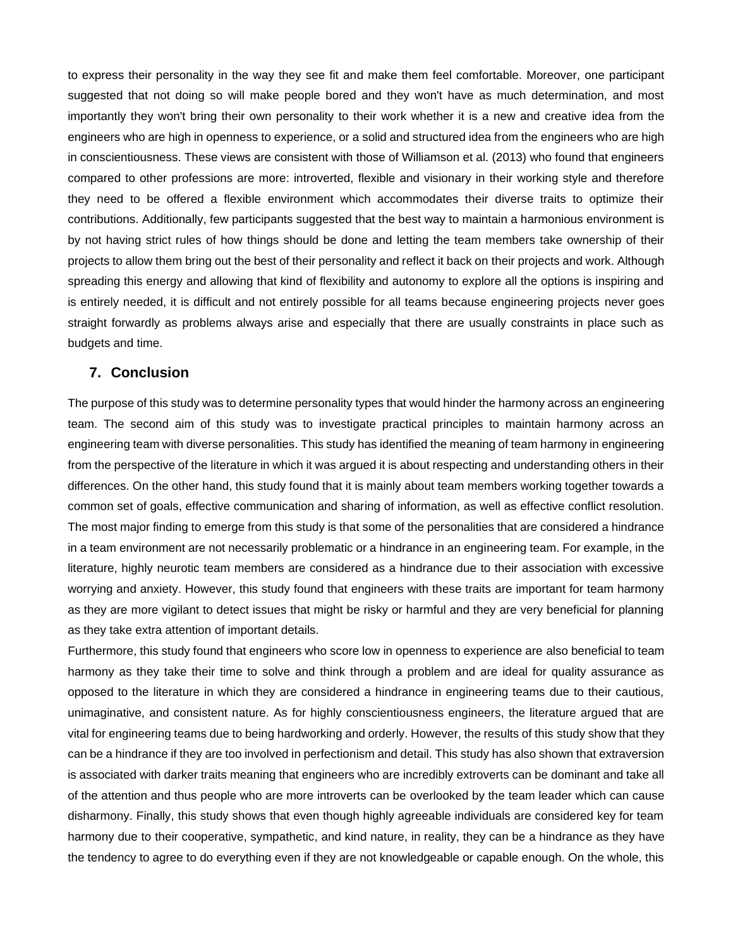to express their personality in the way they see fit and make them feel comfortable. Moreover, one participant suggested that not doing so will make people bored and they won't have as much determination, and most importantly they won't bring their own personality to their work whether it is a new and creative idea from the engineers who are high in openness to experience, or a solid and structured idea from the engineers who are high in conscientiousness. These views are consistent with those of Williamson et al. (2013) who found that engineers compared to other professions are more: introverted, flexible and visionary in their working style and therefore they need to be offered a flexible environment which accommodates their diverse traits to optimize their contributions. Additionally, few participants suggested that the best way to maintain a harmonious environment is by not having strict rules of how things should be done and letting the team members take ownership of their projects to allow them bring out the best of their personality and reflect it back on their projects and work. Although spreading this energy and allowing that kind of flexibility and autonomy to explore all the options is inspiring and is entirely needed, it is difficult and not entirely possible for all teams because engineering projects never goes straight forwardly as problems always arise and especially that there are usually constraints in place such as budgets and time.

# **7. Conclusion**

The purpose of this study was to determine personality types that would hinder the harmony across an engineering team. The second aim of this study was to investigate practical principles to maintain harmony across an engineering team with diverse personalities. This study has identified the meaning of team harmony in engineering from the perspective of the literature in which it was argued it is about respecting and understanding others in their differences. On the other hand, this study found that it is mainly about team members working together towards a common set of goals, effective communication and sharing of information, as well as effective conflict resolution. The most major finding to emerge from this study is that some of the personalities that are considered a hindrance in a team environment are not necessarily problematic or a hindrance in an engineering team. For example, in the literature, highly neurotic team members are considered as a hindrance due to their association with excessive worrying and anxiety. However, this study found that engineers with these traits are important for team harmony as they are more vigilant to detect issues that might be risky or harmful and they are very beneficial for planning as they take extra attention of important details.

Furthermore, this study found that engineers who score low in openness to experience are also beneficial to team harmony as they take their time to solve and think through a problem and are ideal for quality assurance as opposed to the literature in which they are considered a hindrance in engineering teams due to their cautious, unimaginative, and consistent nature. As for highly conscientiousness engineers, the literature argued that are vital for engineering teams due to being hardworking and orderly. However, the results of this study show that they can be a hindrance if they are too involved in perfectionism and detail. This study has also shown that extraversion is associated with darker traits meaning that engineers who are incredibly extroverts can be dominant and take all of the attention and thus people who are more introverts can be overlooked by the team leader which can cause disharmony. Finally, this study shows that even though highly agreeable individuals are considered key for team harmony due to their cooperative, sympathetic, and kind nature, in reality, they can be a hindrance as they have the tendency to agree to do everything even if they are not knowledgeable or capable enough. On the whole, this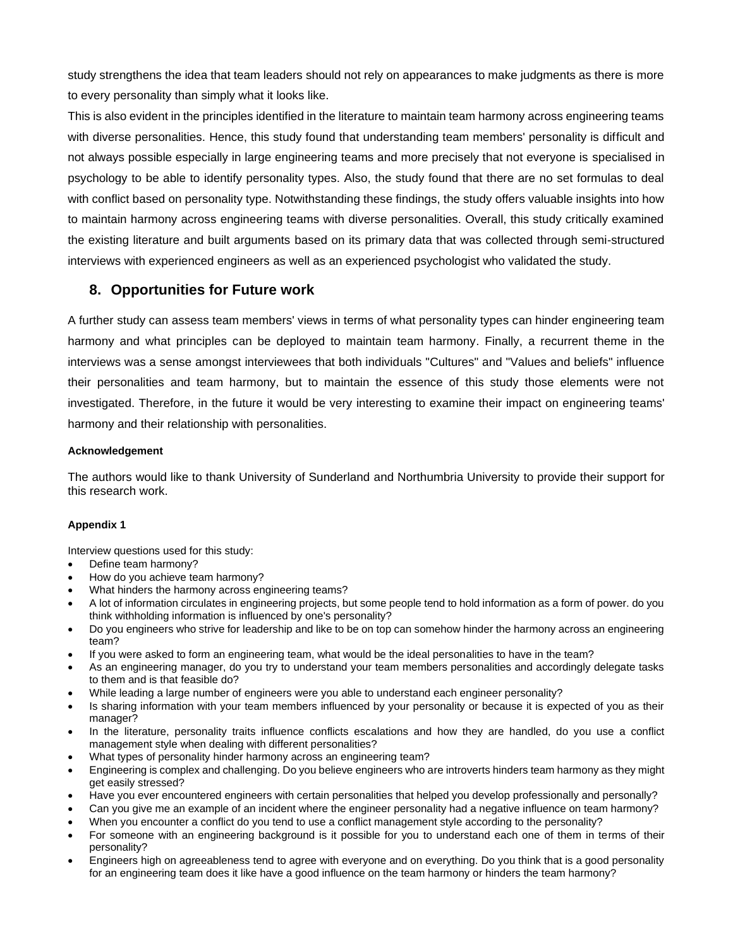study strengthens the idea that team leaders should not rely on appearances to make judgments as there is more to every personality than simply what it looks like.

This is also evident in the principles identified in the literature to maintain team harmony across engineering teams with diverse personalities. Hence, this study found that understanding team members' personality is difficult and not always possible especially in large engineering teams and more precisely that not everyone is specialised in psychology to be able to identify personality types. Also, the study found that there are no set formulas to deal with conflict based on personality type. Notwithstanding these findings, the study offers valuable insights into how to maintain harmony across engineering teams with diverse personalities. Overall, this study critically examined the existing literature and built arguments based on its primary data that was collected through semi-structured interviews with experienced engineers as well as an experienced psychologist who validated the study.

# **8. Opportunities for Future work**

A further study can assess team members' views in terms of what personality types can hinder engineering team harmony and what principles can be deployed to maintain team harmony. Finally, a recurrent theme in the interviews was a sense amongst interviewees that both individuals "Cultures" and "Values and beliefs" influence their personalities and team harmony, but to maintain the essence of this study those elements were not investigated. Therefore, in the future it would be very interesting to examine their impact on engineering teams' harmony and their relationship with personalities.

# **Acknowledgement**

The authors would like to thank University of Sunderland and Northumbria University to provide their support for this research work.

# **Appendix 1**

Interview questions used for this study:

- Define team harmony?
- How do you achieve team harmony?
- What hinders the harmony across engineering teams?
- A lot of information circulates in engineering projects, but some people tend to hold information as a form of power. do you think withholding information is influenced by one's personality?
- Do you engineers who strive for leadership and like to be on top can somehow hinder the harmony across an engineering team?
- If you were asked to form an engineering team, what would be the ideal personalities to have in the team?
- As an engineering manager, do you try to understand your team members personalities and accordingly delegate tasks to them and is that feasible do?
- While leading a large number of engineers were you able to understand each engineer personality?
- Is sharing information with your team members influenced by your personality or because it is expected of you as their manager?
- In the literature, personality traits influence conflicts escalations and how they are handled, do you use a conflict management style when dealing with different personalities?
- What types of personality hinder harmony across an engineering team?
- Engineering is complex and challenging. Do you believe engineers who are introverts hinders team harmony as they might get easily stressed?
- Have you ever encountered engineers with certain personalities that helped you develop professionally and personally?
- Can you give me an example of an incident where the engineer personality had a negative influence on team harmony?
- When you encounter a conflict do you tend to use a conflict management style according to the personality?
- For someone with an engineering background is it possible for you to understand each one of them in terms of their personality?
- Engineers high on agreeableness tend to agree with everyone and on everything. Do you think that is a good personality for an engineering team does it like have a good influence on the team harmony or hinders the team harmony?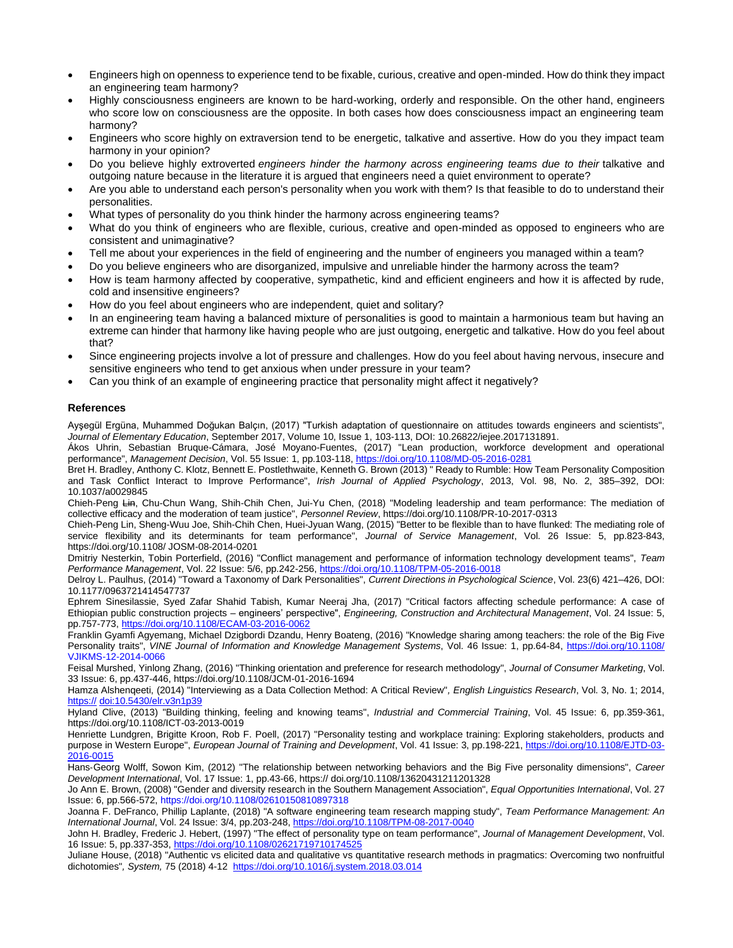- Engineers high on openness to experience tend to be fixable, curious, creative and open-minded. How do think they impact an engineering team harmony?
- Highly consciousness engineers are known to be hard-working, orderly and responsible. On the other hand, engineers who score low on consciousness are the opposite. In both cases how does consciousness impact an engineering team harmony?
- Engineers who score highly on extraversion tend to be energetic, talkative and assertive. How do you they impact team harmony in your opinion?
- Do you believe highly extroverted *engineers hinder the harmony across engineering teams due to their* talkative and outgoing nature because in the literature it is argued that engineers need a quiet environment to operate?
- Are you able to understand each person's personality when you work with them? Is that feasible to do to understand their personalities.
- What types of personality do you think hinder the harmony across engineering teams?
- What do you think of engineers who are flexible, curious, creative and open-minded as opposed to engineers who are consistent and unimaginative?
- Tell me about your experiences in the field of engineering and the number of engineers you managed within a team?
- Do you believe engineers who are disorganized, impulsive and unreliable hinder the harmony across the team?
- How is team harmony affected by cooperative, sympathetic, kind and efficient engineers and how it is affected by rude, cold and insensitive engineers?
- How do you feel about engineers who are independent, quiet and solitary?
- In an engineering team having a balanced mixture of personalities is good to maintain a harmonious team but having an extreme can hinder that harmony like having people who are just outgoing, energetic and talkative. How do you feel about that?
- Since engineering projects involve a lot of pressure and challenges. How do you feel about having nervous, insecure and sensitive engineers who tend to get anxious when under pressure in your team?
- Can you think of an example of engineering practice that personality might affect it negatively?

#### **References**

Ayşegül Ergüna, Muhammed Doğukan Balçın, (2017) "Turkish adaptation of questionnaire on attitudes towards engineers and scientists", *Journal of Elementary Education*, September 2017, Volume 10, Issue 1, 103-113, DOI: 10.26822/iejee.2017131891.

Ákos Uhrin, Sebastian Bruque-Cámara, José Moyano-Fuentes, (2017) "Lean production, workforce development and operational performance", *Management Decision*, Vol. 55 Issue: 1, pp.103-118[, https://doi.org/10.1108/MD-05-2016-0281](https://doi.org/10.1108/MD-05-2016-0281)

Bret H. Bradley, Anthony C. Klotz, Bennett E. Postlethwaite, Kenneth G. Brown (2013) " Ready to Rumble: How Team Personality Composition and Task Conflict Interact to Improve Performance", *Irish Journal of Applied Psychology*, 2013, Vol. 98, No. 2, 385–392, DOI: 10.1037/a0029845

Chieh-Peng Lin, Chu-Chun Wang, Shih-Chih Chen, Jui-Yu Chen, (2018) "Modeling leadership and team performance: The mediation of collective efficacy and the moderation of team justice", *Personnel Review*, https://doi.org/10.1108/PR-10-2017-0313

Chieh-Peng Lin, Sheng-Wuu Joe, Shih-Chih Chen, Huei-Jyuan Wang, (2015) "Better to be flexible than to have flunked: The mediating role of service flexibility and its determinants for team performance", *Journal of Service Management*, Vol. 26 Issue: 5, pp.823-843, https://doi.org/10.1108/ JOSM-08-2014-0201

Dmitriy Nesterkin, Tobin Porterfield, (2016) "Conflict management and performance of information technology development teams", *Team Performance Management*, Vol. 22 Issue: 5/6, pp.242-256,<https://doi.org/10.1108/TPM-05-2016-0018>

Delroy L. Paulhus, (2014) "Toward a Taxonomy of Dark Personalities", *Current Directions in Psychological Science*, Vol. 23(6) 421–426, DOI: 10.1177/0963721414547737

Ephrem Sinesilassie, Syed Zafar Shahid Tabish, Kumar Neeraj Jha, (2017) "Critical factors affecting schedule performance: A case of Ethiopian public construction projects – engineers' perspective", *Engineering, Construction and Architectural Management*, Vol. 24 Issue: 5, pp.757-773[, https://doi.org/10.1108/ECAM-03-2016-0062](https://doi.org/10.1108/ECAM-03-2016-0062)

Franklin Gyamfi Agyemang, Michael Dzigbordi Dzandu, Henry Boateng, (2016) "Knowledge sharing among teachers: the role of the Big Five Personality traits", *VINE Journal of Information and Knowledge Management Systems*, Vol. 46 Issue: 1, pp.64-84,<https://doi.org/10.1108/> VJIKMS-12-2014-0066

Feisal Murshed, Yinlong Zhang, (2016) "Thinking orientation and preference for research methodology", *Journal of Consumer Marketing*, Vol. 33 Issue: 6, pp.437-446, https://doi.org/10.1108/JCM-01-2016-1694

Hamza Alshenqeeti, (2014) "Interviewing as a Data Collection Method: A Critical Review"*, English Linguistics Research*, Vol. 3, No. 1; 2014, https:// [doi:10.5430/elr.v3n1p39](https://doi.org/10.1108/01409171211210154)

Hyland Clive, (2013) "Building thinking, feeling and knowing teams", *Industrial and Commercial Training*, Vol. 45 Issue: 6, pp.359-361, https://doi.org/10.1108/ICT-03-2013-0019

Henriette Lundgren, Brigitte Kroon, Rob F. Poell, (2017) "Personality testing and workplace training: Exploring stakeholders, products and purpose in Western Europe", *European Journal of Training and Development*, Vol. 41 Issue: 3, pp.198-221, [https://doi.org/10.1108/EJTD-03-](https://doi.org/10.1108/EJTD-03-2016-0015) [2016-0015](https://doi.org/10.1108/EJTD-03-2016-0015)

Hans‐Georg Wolff, Sowon Kim, (2012) "The relationship between networking behaviors and the Big Five personality dimensions", *Career Development International*, Vol. 17 Issue: 1, pp.43-66, https:// doi.org/10.1108/13620431211201328

Jo Ann E. Brown, (2008) "Gender and diversity research in the Southern Management Association", *Equal Opportunities International*, Vol. 27 Issue: 6, pp.566-572, https://doi.org/10.1108/02610150810897318

Joanna F. DeFranco, Phillip Laplante, (2018) "A software engineering team research mapping study", *Team Performance Management: An International Journal*, Vol. 24 Issue: 3/4, pp.203-248,<https://doi.org/10.1108/TPM-08-2017-0040>

John H. Bradley, Frederic J. Hebert, (1997) "The effect of personality type on team performance", *Journal of Management Development*, Vol. 16 Issue: 5, pp.337-353[, https://doi.org/10.1108/02621719710174525](https://doi.org/10.1108/02621719710174525)

Juliane House, (2018) "Authentic vs elicited data and qualitative vs quantitative research methods in pragmatics: Overcoming two nonfruitful dichotomies"*, System,* 75 (2018) 4-12<https://doi.org/10.1016/j.system.2018.03.014>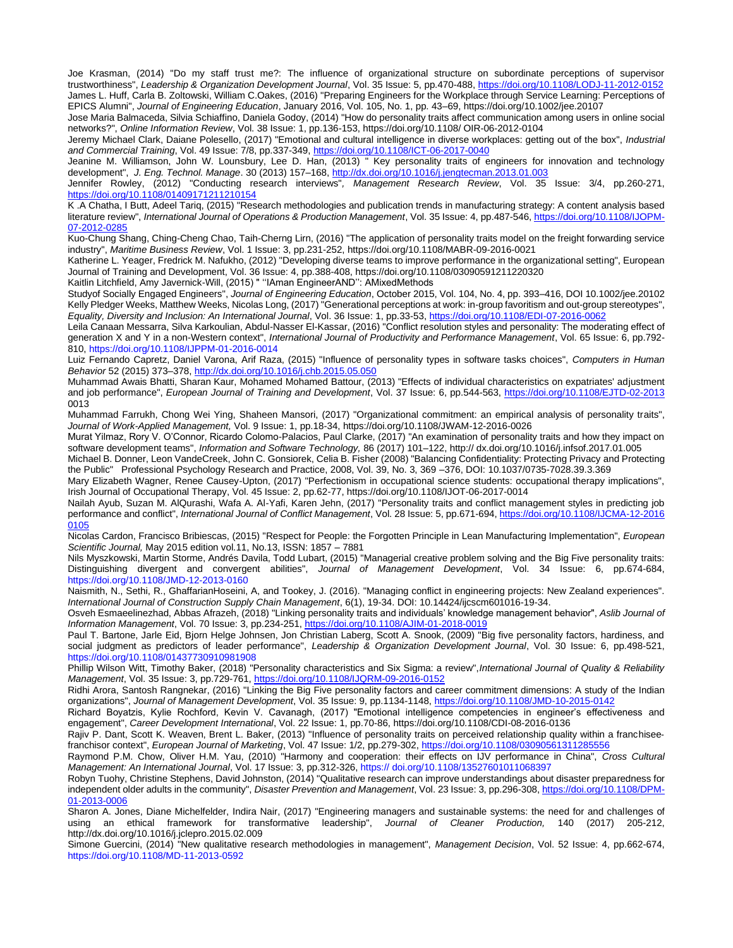Joe Krasman, (2014) "Do my staff trust me?: The influence of organizational structure on subordinate perceptions of supervisor trustworthiness", *Leadership & Organization Development Journal*, Vol. 35 Issue: 5, pp.470-488[, https://doi.org/10.1108/LODJ-11-2012-0152](https://doi.org/10.1108/LODJ-11-2012-0152) James L. Huff, Carla B. Zoltowski, William C.Oakes, (2016) "Preparing Engineers for the Workplace through Service Learning: Perceptions of EPICS Alumni", *Journal of Engineering Education*, January 2016, Vol. 105, No. 1, pp. 43–69, https://doi.org/10.1002/jee.20107

Jose Maria Balmaceda, Silvia Schiaffino, Daniela Godoy, (2014) "How do personality traits affect communication among users in online social networks?", *Online Information Review*, Vol. 38 Issue: 1, pp.136-153, https://doi.org/10.1108/ OIR-06-2012-0104

Jeremy Michael Clark, Daiane Polesello, (2017) "Emotional and cultural intelligence in diverse workplaces: getting out of the box", *Industrial and Commercial Training*, Vol. 49 Issue: 7/8, pp.337-349[, https://doi.org/10.1108/ICT-06-2017-0040](https://doi.org/10.1108/ICT-06-2017-0040)

Jeanine M. Williamson, John W. Lounsbury, Lee D. Han, (2013) " Key personality traits of engineers for innovation and technology development", *J. Eng. Technol. Manage*. 30 (2013) 157–168[, http://dx.doi.org/10.1016/j.jengtecman.2013.01.003](http://dx.doi.org/10.1016/j.jengtecman.2013.01.003)

Jennifer Rowley, (2012) "Conducting research interviews"*, Management Research Review*, Vol. 35 Issue: 3/4, pp.260-271, <https://doi.org/10.1108/01409171211210154>

K .A Chatha, I Butt, Adeel Tariq, (2015) "Research methodologies and publication trends in manufacturing strategy: A content analysis based literature review", *International Journal of Operations & Production Management*, Vol. 35 Issue: 4, pp.487-546[, https://doi.org/10.1108/IJOPM-](https://doi.org/10.1108/IJOPM-07-2012-0285)07-2012-028

Kuo-Chung Shang, Ching-Cheng Chao, Taih-Cherng Lirn, (2016) "The application of personality traits model on the freight forwarding service industry", *Maritime Business Review*, Vol. 1 Issue: 3, pp.231-252, https://doi.org/10.1108/MABR-09-2016-0021

Katherine L. Yeager, Fredrick M. Nafukho, (2012) "Developing diverse teams to improve performance in the organizational setting", European Journal of Training and Development, Vol. 36 Issue: 4, pp.388-408, https://doi.org/10.1108/03090591211220320

Kaitlin Litchfield, Amy Javernick-Will, (2015) " ''IAman EngineerAND'': AMixedMethods

Studyof Socially Engaged Engineers", *Journal of Engineering Education*, October 2015, Vol. 104, No. 4, pp. 393–416, DOI 10.1002/jee.20102 Kelly Pledger Weeks, Matthew Weeks, Nicolas Long, (2017) "Generational perceptions at work: in-group favoritism and out-group stereotypes", *Equality, Diversity and Inclusion: An International Journal*, Vol. 36 Issue: 1, pp.33-53[, https://doi.org/10.1108/EDI-07-2016-0062](https://doi.org/10.1108/EDI-07-2016-0062)

Leila Canaan Messarra, Silva Karkoulian, Abdul-Nasser El-Kassar, (2016) "Conflict resolution styles and personality: The moderating effect of generation X and Y in a non-Western context", *International Journal of Productivity and Performance Management*, Vol. 65 Issue: 6, pp.792- 810, https://doi.org/10.1108/IJPPM-01-2016-0014

Luiz Fernando Capretz, Daniel Varona, Arif Raza, (2015) "Influence of personality types in software tasks choices", *Computers in Human Behavior* 52 (2015) 373–378[, http://dx.doi.org/10.1016/j.chb.2015.05.050](http://dx.doi.org/10.1016/j.chb.2015.05.050)

Muhammad Awais Bhatti, Sharan Kaur, Mohamed Mohamed Battour, (2013) "Effects of individual characteristics on expatriates' adjustment and job performance", *European Journal of Training and Development*, Vol. 37 Issue: 6, pp.544-563,<https://doi.org/10.1108/EJTD-02-2013> 0013

Muhammad Farrukh, Chong Wei Ying, Shaheen Mansori, (2017) "Organizational commitment: an empirical analysis of personality traits", *Journal of Work-Applied Management,* Vol. 9 Issue: 1, pp.18-34, https://doi.org/10.1108/JWAM-12-2016-0026

Murat Yilmaz, Rory V. O'Connor, Ricardo Colomo-Palacios, Paul Clarke, (2017) "An examination of personality traits and how they impact on software development teams", *Information and Software Technology,* 86 (2017) 101–122, http:// dx.doi.org/10.1016/j.infsof.2017.01.005

Michael B. Donner, Leon VandeCreek, John C. Gonsiorek, Celia B. Fisher (2008) "Balancing Confidentiality: Protecting Privacy and Protecting the Public" Professional Psychology Research and Practice, 2008, Vol. 39, No. 3, 369 –376, DOI: 10.1037/0735-7028.39.3.369

Mary Elizabeth Wagner, Renee Causey-Upton, (2017) "Perfectionism in occupational science students: occupational therapy implications", Irish Journal of Occupational Therapy, Vol. 45 Issue: 2, pp.62-77, https://doi.org/10.1108/IJOT-06-2017-0014

Nailah Ayub, Suzan M. AlQurashi, Wafa A. Al-Yafi, Karen Jehn, (2017) "Personality traits and conflict management styles in predicting job performance and conflict", *International Journal of Conflict Management*, Vol. 28 Issue: 5, pp.671-694[, https://doi.org/10.1108/IJCMA-12-2016](https://doi.org/10.1108/IJCMA-12-2016%200105)  [0105](https://doi.org/10.1108/IJCMA-12-2016%200105)

Nicolas Cardon, Francisco Bribiescas, (2015) "Respect for People: the Forgotten Principle in Lean Manufacturing Implementation", *European Scientific Journal,* May 2015 edition vol.11, No.13, ISSN: 1857 – 7881

Nils Myszkowski, Martin Storme, Andrés Davila, Todd Lubart, (2015) "Managerial creative problem solving and the Big Five personality traits: Distinguishing divergent and convergent abilities", *Journal of Management Development*, Vol. 34 Issue: 6, pp.674-684, https://doi.org/10.1108/JMD-12-2013-0160

Naismith, N., Sethi, R., GhaffarianHoseini, A, and Tookey, J. (2016). "Managing conflict in engineering projects: New Zealand experiences". *International Journal of Construction Supply Chain Management*, 6(1), 19-34. DOI: 10.14424/ijcscm601016-19-34.

Osveh Esmaeelinezhad, Abbas Afrazeh, (2018) "Linking personality traits and individuals' knowledge management behavior", *Aslib Journal of Information Management*, Vol. 70 Issue: 3, pp.234-251[, https://doi.org/10.1108/AJIM-01-2018-0019](https://doi.org/10.1108/AJIM-01-2018-0019)

Paul T. Bartone, Jarle Eid, Bjorn Helge Johnsen, Jon Christian Laberg, Scott A. Snook, (2009) "Big five personality factors, hardiness, and social judgment as predictors of leader performance", *Leadership & Organization Development Journal*, Vol. 30 Issue: 6, pp.498-521, https://doi.org/10.1108/01437730910981908

Phillip Wilson Witt, Timothy Baker, (2018) "Personality characteristics and Six Sigma: a review",*International Journal of Quality & Reliability Management*, Vol. 35 Issue: 3, pp.729-761[, https://doi.org/10.1108/IJQRM-09-2016-0152](https://doi.org/10.1108/IJQRM-09-2016-0152)

Ridhi Arora, Santosh Rangnekar, (2016) "Linking the Big Five personality factors and career commitment dimensions: A study of the Indian organizations", *Journal of Management Development*, Vol. 35 Issue: 9, pp.1134-1148,<https://doi.org/10.1108/JMD-10-2015-0142>

Richard Boyatzis, Kylie Rochford, Kevin V. Cavanagh, (2017) "Emotional intelligence competencies in engineer's effectiveness and engagement", *Career Development International*, Vol. 22 Issue: 1, pp.70-86, https://doi.org/10.1108/CDI-08-2016-0136

Rajiv P. Dant, Scott K. Weaven, Brent L. Baker, (2013) "Influence of personality traits on perceived relationship quality within a franchisee‐ franchisor context", *European Journal of Marketing*, Vol. 47 Issue: 1/2, pp.279-302[, https://doi.org/10.1108/03090561311285556](https://doi.org/10.1108/03090561311285556)

Raymond P.M. Chow, Oliver H.M. Yau, (2010) "Harmony and cooperation: their effects on IJV performance in China", *Cross Cultural Management: An International Journal*, Vol. 17 Issue: 3, pp.312-326, https:// doi.org/10.1108/13527601011068397

Robyn Tuohy, Christine Stephens, David Johnston, (2014) "Qualitative research can improve understandings about disaster preparedness for independent older adults in the community", *Disaster Prevention and Management*, Vol. 23 Issue: 3, pp.296-308[, https://doi.org/10.1108/DPM-](https://doi.org/10.1108/DPM-01-2013-0006)[01-2013-0006](https://doi.org/10.1108/DPM-01-2013-0006)

Sharon A. Jones, Diane Michelfelder, Indira Nair, (2017) "Engineering managers and sustainable systems: the need for and challenges of using an ethical framework for transformative leadership", *Journal of Cleaner Production,* 140 (2017) 205-212, http://dx.doi.org/10.1016/j.jclepro.2015.02.009

Simone Guercini, (2014) "New qualitative research methodologies in management", *Management Decision*, Vol. 52 Issue: 4, pp.662-674, https://doi.org/10.1108/MD-11-2013-0592